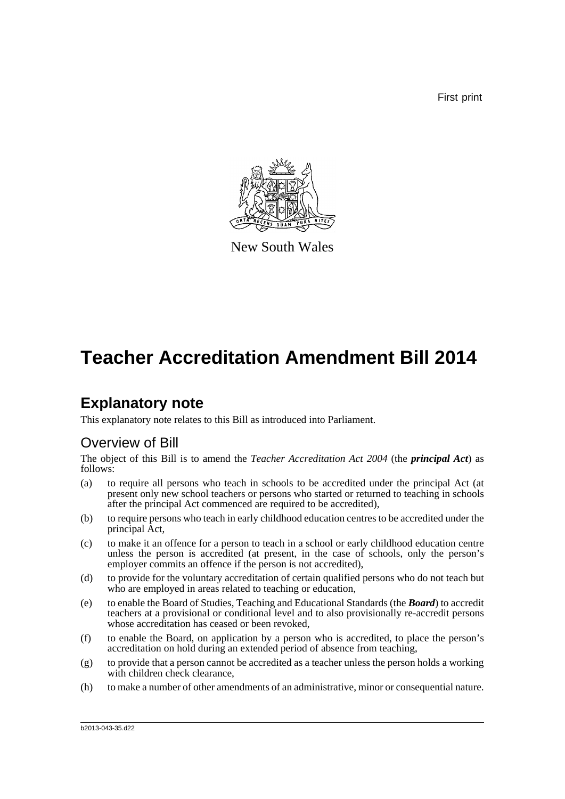First print



New South Wales

# **Teacher Accreditation Amendment Bill 2014**

## **Explanatory note**

This explanatory note relates to this Bill as introduced into Parliament.

## Overview of Bill

The object of this Bill is to amend the *Teacher Accreditation Act 2004* (the *principal Act*) as follows:

- (a) to require all persons who teach in schools to be accredited under the principal Act (at present only new school teachers or persons who started or returned to teaching in schools after the principal Act commenced are required to be accredited),
- (b) to require persons who teach in early childhood education centres to be accredited under the principal Act,
- (c) to make it an offence for a person to teach in a school or early childhood education centre unless the person is accredited (at present, in the case of schools, only the person's employer commits an offence if the person is not accredited),
- (d) to provide for the voluntary accreditation of certain qualified persons who do not teach but who are employed in areas related to teaching or education,
- (e) to enable the Board of Studies, Teaching and Educational Standards (the *Board*) to accredit teachers at a provisional or conditional level and to also provisionally re-accredit persons whose accreditation has ceased or been revoked,
- (f) to enable the Board, on application by a person who is accredited, to place the person's accreditation on hold during an extended period of absence from teaching,
- (g) to provide that a person cannot be accredited as a teacher unless the person holds a working with children check clearance,
- (h) to make a number of other amendments of an administrative, minor or consequential nature.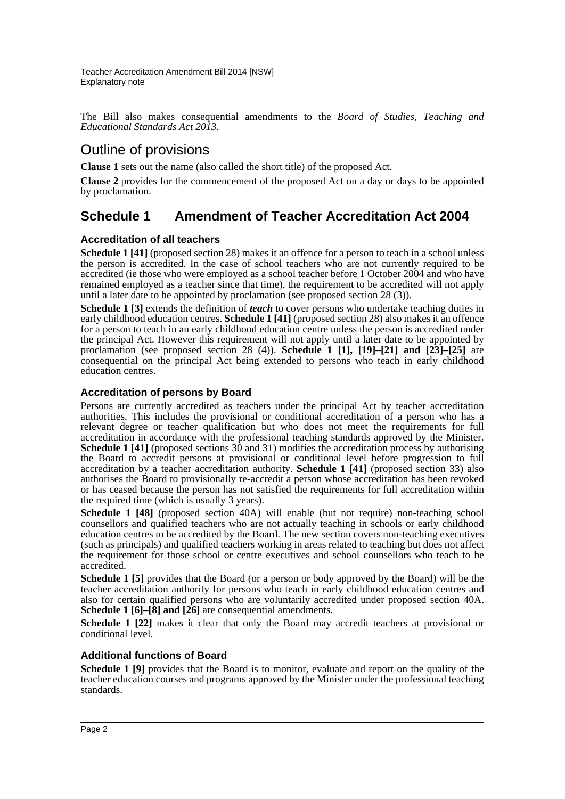The Bill also makes consequential amendments to the *Board of Studies, Teaching and Educational Standards Act 2013*.

## Outline of provisions

**Clause 1** sets out the name (also called the short title) of the proposed Act.

**Clause 2** provides for the commencement of the proposed Act on a day or days to be appointed by proclamation.

### **Schedule 1 Amendment of Teacher Accreditation Act 2004**

#### **Accreditation of all teachers**

**Schedule 1 [41]** (proposed section 28) makes it an offence for a person to teach in a school unless the person is accredited. In the case of school teachers who are not currently required to be accredited (ie those who were employed as a school teacher before 1 October 2004 and who have remained employed as a teacher since that time), the requirement to be accredited will not apply until a later date to be appointed by proclamation (see proposed section 28 (3)).

**Schedule 1 [3]** extends the definition of *teach* to cover persons who undertake teaching duties in early childhood education centres. **Schedule 1 [41]** (proposed section 28) also makes it an offence for a person to teach in an early childhood education centre unless the person is accredited under the principal Act. However this requirement will not apply until a later date to be appointed by proclamation (see proposed section 28 (4)). **Schedule 1 [1], [19]–[21] and [23]–[25]** are consequential on the principal Act being extended to persons who teach in early childhood education centres.

#### **Accreditation of persons by Board**

Persons are currently accredited as teachers under the principal Act by teacher accreditation authorities. This includes the provisional or conditional accreditation of a person who has a relevant degree or teacher qualification but who does not meet the requirements for full accreditation in accordance with the professional teaching standards approved by the Minister. **Schedule 1 [41]** (proposed sections 30 and 31) modifies the accreditation process by authorising the Board to accredit persons at provisional or conditional level before progression to full accreditation by a teacher accreditation authority. **Schedule 1 [41]** (proposed section 33) also authorises the Board to provisionally re-accredit a person whose accreditation has been revoked or has ceased because the person has not satisfied the requirements for full accreditation within the required time (which is usually 3 years).

**Schedule 1 [48]** (proposed section 40A) will enable (but not require) non-teaching school counsellors and qualified teachers who are not actually teaching in schools or early childhood education centres to be accredited by the Board. The new section covers non-teaching executives (such as principals) and qualified teachers working in areas related to teaching but does not affect the requirement for those school or centre executives and school counsellors who teach to be accredited.

**Schedule 1 [5]** provides that the Board (or a person or body approved by the Board) will be the teacher accreditation authority for persons who teach in early childhood education centres and also for certain qualified persons who are voluntarily accredited under proposed section 40A. **Schedule 1 [6]–[8] and [26]** are consequential amendments.

**Schedule 1 [22]** makes it clear that only the Board may accredit teachers at provisional or conditional level.

#### **Additional functions of Board**

**Schedule 1 [9]** provides that the Board is to monitor, evaluate and report on the quality of the teacher education courses and programs approved by the Minister under the professional teaching standards.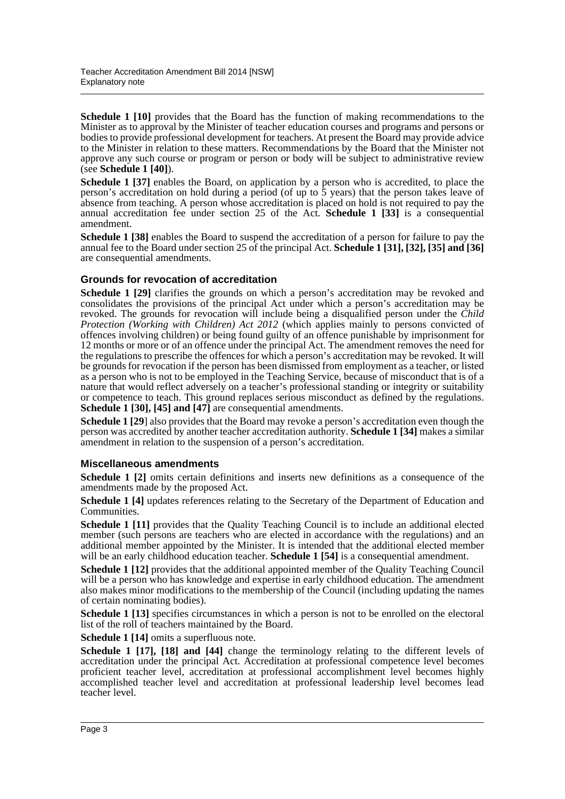**Schedule 1 [10]** provides that the Board has the function of making recommendations to the Minister as to approval by the Minister of teacher education courses and programs and persons or bodies to provide professional development for teachers. At present the Board may provide advice to the Minister in relation to these matters. Recommendations by the Board that the Minister not approve any such course or program or person or body will be subject to administrative review (see **Schedule 1 [40]**).

**Schedule 1 [37]** enables the Board, on application by a person who is accredited, to place the person's accreditation on hold during a period (of up to  $\overline{5}$  years) that the person takes leave of absence from teaching. A person whose accreditation is placed on hold is not required to pay the annual accreditation fee under section 25 of the Act. **Schedule 1 [33]** is a consequential amendment.

**Schedule 1 [38]** enables the Board to suspend the accreditation of a person for failure to pay the annual fee to the Board under section 25 of the principal Act. **Schedule 1 [31], [32], [35] and [36]** are consequential amendments.

#### **Grounds for revocation of accreditation**

**Schedule 1 [29]** clarifies the grounds on which a person's accreditation may be revoked and consolidates the provisions of the principal Act under which a person's accreditation may be revoked. The grounds for revocation will include being a disqualified person under the *Child Protection (Working with Children) Act 2012* (which applies mainly to persons convicted of offences involving children) or being found guilty of an offence punishable by imprisonment for 12 months or more or of an offence under the principal Act. The amendment removes the need for the regulations to prescribe the offences for which a person's accreditation may be revoked. It will be grounds for revocation if the person has been dismissed from employment as a teacher, or listed as a person who is not to be employed in the Teaching Service, because of misconduct that is of a nature that would reflect adversely on a teacher's professional standing or integrity or suitability or competence to teach. This ground replaces serious misconduct as defined by the regulations. **Schedule 1 [30], [45] and [47]** are consequential amendments.

**Schedule 1 [29**] also provides that the Board may revoke a person's accreditation even though the person was accredited by another teacher accreditation authority. **Schedule 1 [34]** makes a similar amendment in relation to the suspension of a person's accreditation.

#### **Miscellaneous amendments**

**Schedule 1 [2]** omits certain definitions and inserts new definitions as a consequence of the amendments made by the proposed Act.

**Schedule 1 [4]** updates references relating to the Secretary of the Department of Education and Communities.

**Schedule 1 [11]** provides that the Quality Teaching Council is to include an additional elected member (such persons are teachers who are elected in accordance with the regulations) and an additional member appointed by the Minister. It is intended that the additional elected member will be an early childhood education teacher. **Schedule 1 [54]** is a consequential amendment.

**Schedule 1 [12]** provides that the additional appointed member of the Quality Teaching Council will be a person who has knowledge and expertise in early childhood education. The amendment also makes minor modifications to the membership of the Council (including updating the names of certain nominating bodies).

**Schedule 1 [13]** specifies circumstances in which a person is not to be enrolled on the electoral list of the roll of teachers maintained by the Board.

**Schedule 1 [14]** omits a superfluous note.

**Schedule 1 [17], [18] and [44]** change the terminology relating to the different levels of accreditation under the principal Act. Accreditation at professional competence level becomes proficient teacher level, accreditation at professional accomplishment level becomes highly accomplished teacher level and accreditation at professional leadership level becomes lead teacher level.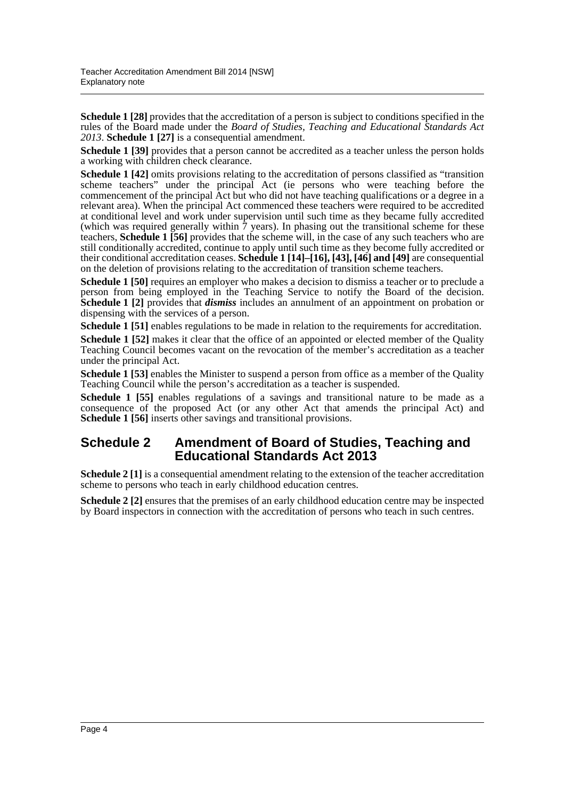**Schedule 1 [28]** provides that the accreditation of a person is subject to conditions specified in the rules of the Board made under the *Board of Studies, Teaching and Educational Standards Act 2013*. **Schedule 1 [27]** is a consequential amendment.

**Schedule 1 [39]** provides that a person cannot be accredited as a teacher unless the person holds a working with children check clearance.

**Schedule 1 [42]** omits provisions relating to the accreditation of persons classified as "transition" scheme teachers" under the principal Act (ie persons who were teaching before the commencement of the principal Act but who did not have teaching qualifications or a degree in a relevant area). When the principal Act commenced these teachers were required to be accredited at conditional level and work under supervision until such time as they became fully accredited (which was required generally within  $\bar{7}$  years). In phasing out the transitional scheme for these teachers, **Schedule 1 [56]** provides that the scheme will, in the case of any such teachers who are still conditionally accredited, continue to apply until such time as they become fully accredited or their conditional accreditation ceases. **Schedule 1 [14]–[16], [43], [46] and [49]** are consequential on the deletion of provisions relating to the accreditation of transition scheme teachers.

**Schedule 1 [50]** requires an employer who makes a decision to dismiss a teacher or to preclude a person from being employed in the Teaching Service to notify the Board of the decision. **Schedule 1 [2]** provides that *dismiss* includes an annulment of an appointment on probation or dispensing with the services of a person.

**Schedule 1 [51]** enables regulations to be made in relation to the requirements for accreditation.

**Schedule 1 [52]** makes it clear that the office of an appointed or elected member of the Quality Teaching Council becomes vacant on the revocation of the member's accreditation as a teacher under the principal Act.

**Schedule 1 [53]** enables the Minister to suspend a person from office as a member of the Quality Teaching Council while the person's accreditation as a teacher is suspended.

**Schedule 1 [55]** enables regulations of a savings and transitional nature to be made as a consequence of the proposed Act (or any other Act that amends the principal Act) and **Schedule 1 [56]** inserts other savings and transitional provisions.

#### **Schedule 2 Amendment of Board of Studies, Teaching and Educational Standards Act 2013**

**Schedule 2** [1] is a consequential amendment relating to the extension of the teacher accreditation scheme to persons who teach in early childhood education centres.

**Schedule 2** [2] ensures that the premises of an early childhood education centre may be inspected by Board inspectors in connection with the accreditation of persons who teach in such centres.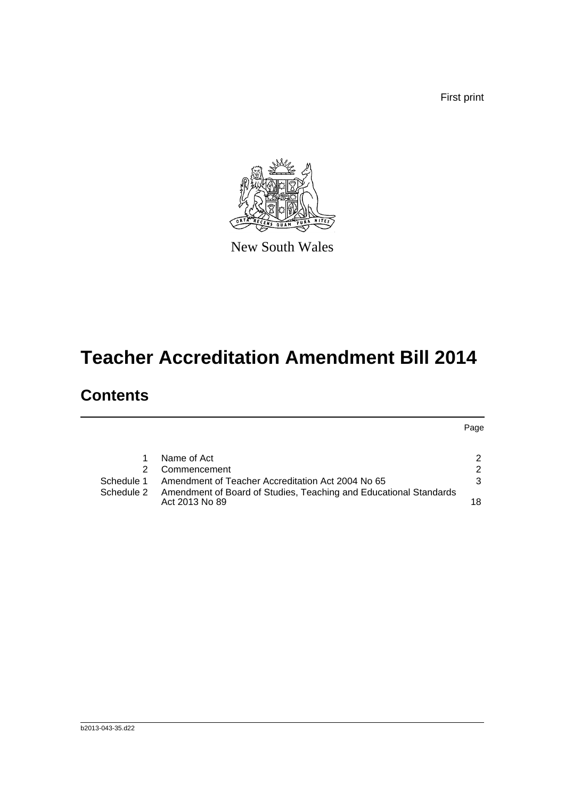First print



New South Wales

# **Teacher Accreditation Amendment Bill 2014**

## **Contents**

Page

|            | Name of Act                                                                         |               |
|------------|-------------------------------------------------------------------------------------|---------------|
|            | 2 Commencement                                                                      | 2             |
| Schedule 1 | Amendment of Teacher Accreditation Act 2004 No 65                                   | $\mathcal{B}$ |
| Schedule 2 | Amendment of Board of Studies, Teaching and Educational Standards<br>Act 2013 No 89 | 18            |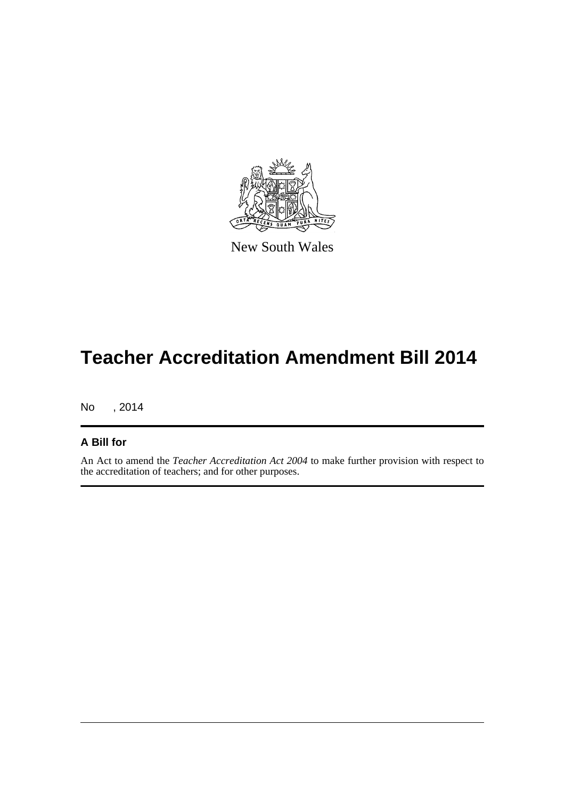

New South Wales

# **Teacher Accreditation Amendment Bill 2014**

No , 2014

#### **A Bill for**

An Act to amend the *Teacher Accreditation Act 2004* to make further provision with respect to the accreditation of teachers; and for other purposes.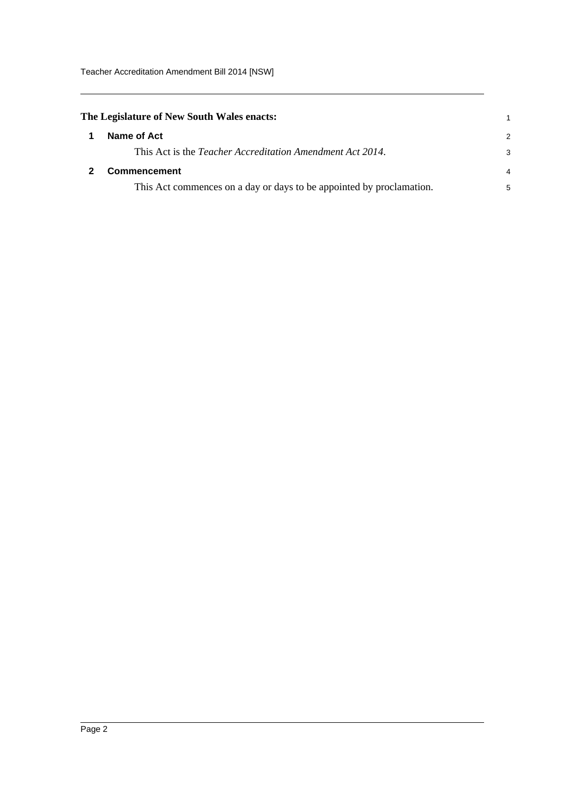<span id="page-6-1"></span><span id="page-6-0"></span>

| The Legislature of New South Wales enacts:                           |               |
|----------------------------------------------------------------------|---------------|
| Name of Act                                                          | $\mathcal{P}$ |
| This Act is the <i>Teacher Accreditation Amendment Act 2014</i> .    | 3             |
| Commencement                                                         | 4             |
| This Act commences on a day or days to be appointed by proclamation. | 5             |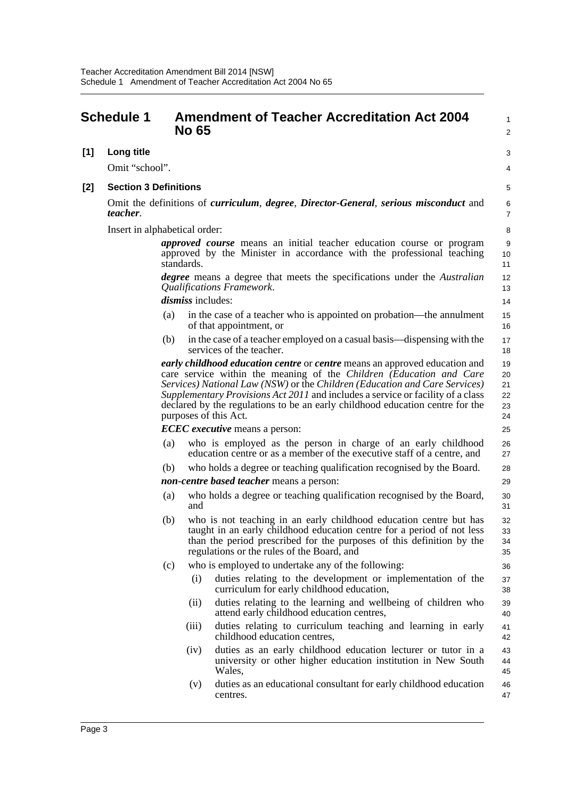<span id="page-7-0"></span>

|     | <b>Schedule 1</b>             |     | <b>No 65</b>      | <b>Amendment of Teacher Accreditation Act 2004</b>                                                                                                                                                                                                                                                                                                                                                                           | $\mathbf{1}$<br>$\overline{2}$   |
|-----|-------------------------------|-----|-------------------|------------------------------------------------------------------------------------------------------------------------------------------------------------------------------------------------------------------------------------------------------------------------------------------------------------------------------------------------------------------------------------------------------------------------------|----------------------------------|
| [1] | Long title                    |     |                   |                                                                                                                                                                                                                                                                                                                                                                                                                              | 3                                |
|     | Omit "school".                |     |                   |                                                                                                                                                                                                                                                                                                                                                                                                                              | 4                                |
| [2] | <b>Section 3 Definitions</b>  |     |                   |                                                                                                                                                                                                                                                                                                                                                                                                                              | 5                                |
|     | <i>teacher.</i>               |     |                   | Omit the definitions of <i>curriculum, degree, Director-General, serious misconduct</i> and                                                                                                                                                                                                                                                                                                                                  | 6<br>7                           |
|     | Insert in alphabetical order: |     |                   |                                                                                                                                                                                                                                                                                                                                                                                                                              | 8                                |
|     |                               |     | standards.        | <i>approved course</i> means an initial teacher education course or program<br>approved by the Minister in accordance with the professional teaching                                                                                                                                                                                                                                                                         | 9<br>10<br>11                    |
|     |                               |     |                   | <i>degree</i> means a degree that meets the specifications under the <i>Australian</i><br>Qualifications Framework.                                                                                                                                                                                                                                                                                                          | 12<br>13                         |
|     |                               |     | dismiss includes: |                                                                                                                                                                                                                                                                                                                                                                                                                              | 14                               |
|     |                               | (a) |                   | in the case of a teacher who is appointed on probation—the annulment<br>of that appointment, or                                                                                                                                                                                                                                                                                                                              | 15<br>16                         |
|     |                               | (b) |                   | in the case of a teacher employed on a casual basis—dispensing with the<br>services of the teacher.                                                                                                                                                                                                                                                                                                                          | 17<br>18                         |
|     |                               |     |                   | early childhood education centre or centre means an approved education and<br>care service within the meaning of the Children (Education and Care<br>Services) National Law (NSW) or the Children (Education and Care Services)<br>Supplementary Provisions Act 2011 and includes a service or facility of a class<br>declared by the regulations to be an early childhood education centre for the<br>purposes of this Act. | 19<br>20<br>21<br>22<br>23<br>24 |
|     |                               |     |                   | <b>ECEC</b> executive means a person:                                                                                                                                                                                                                                                                                                                                                                                        | 25                               |
|     |                               | (a) |                   | who is employed as the person in charge of an early childhood<br>education centre or as a member of the executive staff of a centre, and                                                                                                                                                                                                                                                                                     | 26<br>27                         |
|     |                               | (b) |                   | who holds a degree or teaching qualification recognised by the Board.                                                                                                                                                                                                                                                                                                                                                        | 28                               |
|     |                               |     |                   | <i>non-centre based teacher</i> means a person:                                                                                                                                                                                                                                                                                                                                                                              | 29                               |
|     |                               | (a) | and               | who holds a degree or teaching qualification recognised by the Board,                                                                                                                                                                                                                                                                                                                                                        | 30<br>31                         |
|     |                               | (b) |                   | who is not teaching in an early childhood education centre but has<br>taught in an early childhood education centre for a period of not less<br>than the period prescribed for the purposes of this definition by the<br>regulations or the rules of the Board, and                                                                                                                                                          | 32<br>33<br>34<br>35             |
|     |                               | (c) |                   | who is employed to undertake any of the following:                                                                                                                                                                                                                                                                                                                                                                           | 36                               |
|     |                               |     | (i)               | duties relating to the development or implementation of the<br>curriculum for early childhood education,                                                                                                                                                                                                                                                                                                                     | 37<br>38                         |
|     |                               |     | (ii)              | duties relating to the learning and wellbeing of children who<br>attend early childhood education centres,                                                                                                                                                                                                                                                                                                                   | 39<br>40                         |
|     |                               |     | (iii)             | duties relating to curriculum teaching and learning in early<br>childhood education centres,                                                                                                                                                                                                                                                                                                                                 | 41<br>42                         |
|     |                               |     | (iv)              | duties as an early childhood education lecturer or tutor in a<br>university or other higher education institution in New South<br>Wales,                                                                                                                                                                                                                                                                                     | 43<br>44<br>45                   |
|     |                               |     | (v)               | duties as an educational consultant for early childhood education<br>centres.                                                                                                                                                                                                                                                                                                                                                | 46<br>47                         |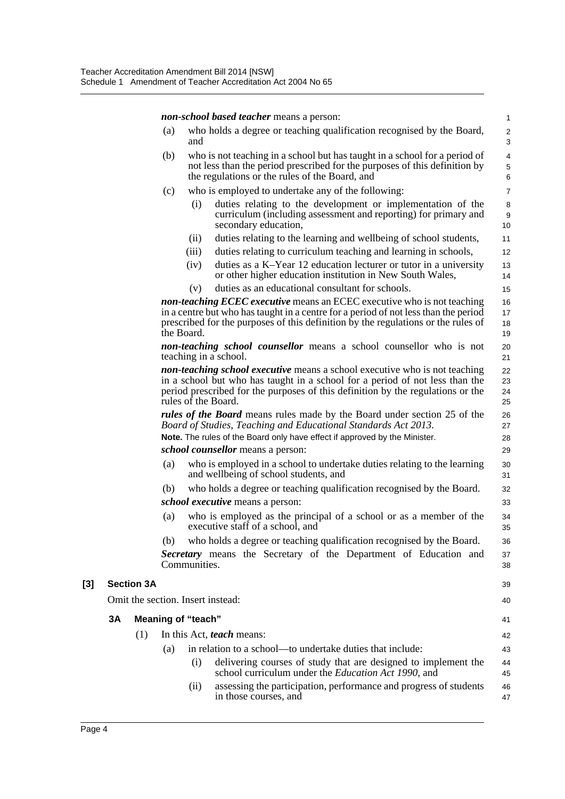*non-school based teacher* means a person:

|     |                                   |                   |     |                           | <i>non-school based teacher</i> means a person:                                                                                                                                                                                                                             | $\mathbf{1}$                                |
|-----|-----------------------------------|-------------------|-----|---------------------------|-----------------------------------------------------------------------------------------------------------------------------------------------------------------------------------------------------------------------------------------------------------------------------|---------------------------------------------|
|     |                                   |                   | (a) | and                       | who holds a degree or teaching qualification recognised by the Board,                                                                                                                                                                                                       | $\overline{2}$<br>$\sqrt{3}$                |
|     |                                   |                   | (b) |                           | who is not teaching in a school but has taught in a school for a period of<br>not less than the period prescribed for the purposes of this definition by<br>the regulations or the rules of the Board, and                                                                  | $\overline{\mathbf{4}}$<br>$\mathbf 5$<br>6 |
|     |                                   |                   | (c) |                           | who is employed to undertake any of the following:                                                                                                                                                                                                                          | $\overline{7}$                              |
|     |                                   |                   |     | (i)                       | duties relating to the development or implementation of the<br>curriculum (including assessment and reporting) for primary and<br>secondary education,                                                                                                                      | 8<br>$9\,$<br>10                            |
|     |                                   |                   |     | (ii)                      | duties relating to the learning and wellbeing of school students,                                                                                                                                                                                                           | 11                                          |
|     |                                   |                   |     | (iii)                     | duties relating to curriculum teaching and learning in schools,                                                                                                                                                                                                             | 12                                          |
|     |                                   |                   |     | (iv)                      | duties as a K-Year 12 education lecturer or tutor in a university<br>or other higher education institution in New South Wales,                                                                                                                                              | 13<br>14                                    |
|     |                                   |                   |     | (v)                       | duties as an educational consultant for schools.                                                                                                                                                                                                                            | 15                                          |
|     |                                   |                   |     | the Board.                | non-teaching ECEC executive means an ECEC executive who is not teaching<br>in a centre but who has taught in a centre for a period of not less than the period<br>prescribed for the purposes of this definition by the regulations or the rules of                         | 16<br>17<br>18<br>19                        |
|     |                                   |                   |     |                           | non-teaching school counsellor means a school counsellor who is not<br>teaching in a school.                                                                                                                                                                                | 20<br>21                                    |
|     |                                   |                   |     |                           | <b>non-teaching school executive</b> means a school executive who is not teaching<br>in a school but who has taught in a school for a period of not less than the<br>period prescribed for the purposes of this definition by the regulations or the<br>rules of the Board. | 22<br>23<br>24<br>25                        |
|     |                                   |                   |     |                           | <i>rules of the Board</i> means rules made by the Board under section 25 of the<br>Board of Studies, Teaching and Educational Standards Act 2013.                                                                                                                           | 26<br>27                                    |
|     |                                   |                   |     |                           | Note. The rules of the Board only have effect if approved by the Minister.                                                                                                                                                                                                  | 28                                          |
|     |                                   |                   |     |                           | school counsellor means a person:                                                                                                                                                                                                                                           | 29                                          |
|     |                                   |                   | (a) |                           | who is employed in a school to undertake duties relating to the learning<br>and wellbeing of school students, and                                                                                                                                                           | 30<br>31                                    |
|     |                                   |                   | (b) |                           | who holds a degree or teaching qualification recognised by the Board.                                                                                                                                                                                                       | 32                                          |
|     |                                   |                   |     |                           | <i>school executive</i> means a person:                                                                                                                                                                                                                                     | 33                                          |
|     |                                   |                   | (a) |                           | who is employed as the principal of a school or as a member of the<br>executive staff of a school, and                                                                                                                                                                      | 34<br>35                                    |
|     |                                   |                   | (b) |                           | who holds a degree or teaching qualification recognised by the Board.                                                                                                                                                                                                       | 36                                          |
|     |                                   |                   |     | Communities.              | Secretary means the Secretary of the Department of Education and                                                                                                                                                                                                            | 37<br>38                                    |
| [3] |                                   | <b>Section 3A</b> |     |                           |                                                                                                                                                                                                                                                                             | 39                                          |
|     | Omit the section. Insert instead: |                   |     |                           |                                                                                                                                                                                                                                                                             | 40                                          |
|     | 3A                                |                   |     | <b>Meaning of "teach"</b> |                                                                                                                                                                                                                                                                             | 41                                          |
|     |                                   | (1)               |     |                           | In this Act, teach means:                                                                                                                                                                                                                                                   | 42                                          |
|     |                                   |                   | (a) |                           | in relation to a school—to undertake duties that include:                                                                                                                                                                                                                   | 43                                          |
|     |                                   |                   |     | (i)                       | delivering courses of study that are designed to implement the<br>school curriculum under the <i>Education Act 1990</i> , and                                                                                                                                               | 44<br>45                                    |
|     |                                   |                   |     | (ii)                      | assessing the participation, performance and progress of students<br>in those courses, and                                                                                                                                                                                  | 46<br>47                                    |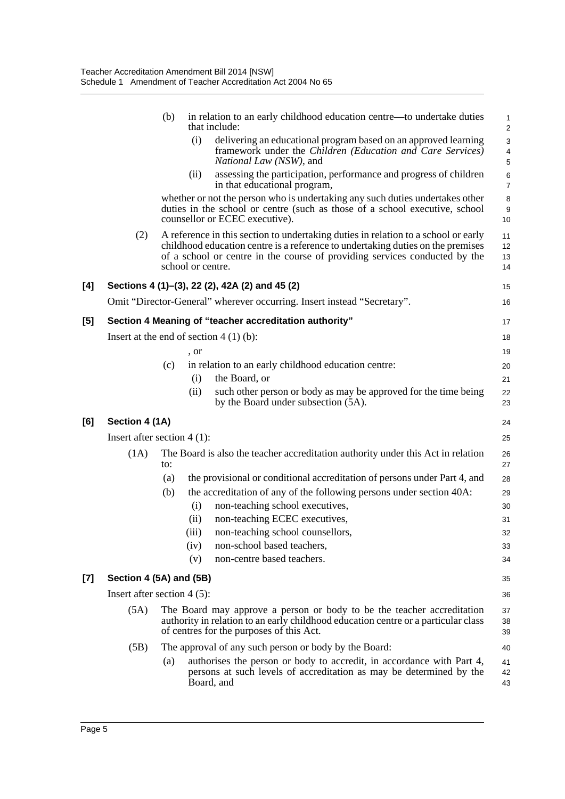|     |                                          | (b) |                   | in relation to an early childhood education centre—to undertake duties<br>that include:                                                                                                                                                             | $\mathbf{1}$<br>$\sqrt{2}$                             |
|-----|------------------------------------------|-----|-------------------|-----------------------------------------------------------------------------------------------------------------------------------------------------------------------------------------------------------------------------------------------------|--------------------------------------------------------|
|     |                                          |     | (i)               | delivering an educational program based on an approved learning<br>framework under the Children (Education and Care Services)<br>National Law (NSW), and                                                                                            | $\mathbf{3}$<br>$\overline{\mathbf{4}}$<br>$\mathbf 5$ |
|     |                                          |     | (ii)              | assessing the participation, performance and progress of children<br>in that educational program,                                                                                                                                                   | 6<br>$\overline{7}$                                    |
|     |                                          |     |                   | whether or not the person who is undertaking any such duties undertakes other<br>duties in the school or centre (such as those of a school executive, school<br>counsellor or ECEC executive).                                                      | 8<br>$\boldsymbol{9}$<br>10                            |
|     | (2)                                      |     | school or centre. | A reference in this section to undertaking duties in relation to a school or early<br>childhood education centre is a reference to undertaking duties on the premises<br>of a school or centre in the course of providing services conducted by the | 11<br>12<br>13<br>14                                   |
| [4] |                                          |     |                   | Sections 4 (1)–(3), 22 (2), 42A (2) and 45 (2)                                                                                                                                                                                                      | 15                                                     |
|     |                                          |     |                   | Omit "Director-General" wherever occurring. Insert instead "Secretary".                                                                                                                                                                             | 16                                                     |
| [5] |                                          |     |                   | Section 4 Meaning of "teacher accreditation authority"                                                                                                                                                                                              | 17                                                     |
|     | Insert at the end of section $4(1)(b)$ : |     |                   |                                                                                                                                                                                                                                                     | 18                                                     |
|     |                                          |     | , or              |                                                                                                                                                                                                                                                     | 19                                                     |
|     |                                          | (c) |                   | in relation to an early childhood education centre:                                                                                                                                                                                                 | 20                                                     |
|     |                                          |     | (i)               | the Board, or                                                                                                                                                                                                                                       | 21                                                     |
|     |                                          |     | (ii)              | such other person or body as may be approved for the time being<br>by the Board under subsection (5A).                                                                                                                                              | 22<br>23                                               |
| [6] | Section 4 (1A)                           |     |                   |                                                                                                                                                                                                                                                     | 24                                                     |
|     | Insert after section $4(1)$ :            |     |                   |                                                                                                                                                                                                                                                     | 25                                                     |
|     | (1A)                                     | to: |                   | The Board is also the teacher accreditation authority under this Act in relation                                                                                                                                                                    | 26<br>27                                               |
|     |                                          | (a) |                   | the provisional or conditional accreditation of persons under Part 4, and                                                                                                                                                                           | 28                                                     |
|     |                                          | (b) |                   | the accreditation of any of the following persons under section 40A:                                                                                                                                                                                | 29                                                     |
|     |                                          |     | (i)               | non-teaching school executives,                                                                                                                                                                                                                     | 30                                                     |
|     |                                          |     | (ii)              | non-teaching ECEC executives,                                                                                                                                                                                                                       | 31                                                     |
|     |                                          |     | (iii)             | non-teaching school counsellors,<br>non-school based teachers,                                                                                                                                                                                      | 32                                                     |
|     |                                          |     | (iv)<br>(v)       | non-centre based teachers.                                                                                                                                                                                                                          | 33<br>34                                               |
| [7] | Section 4 (5A) and (5B)                  |     |                   |                                                                                                                                                                                                                                                     |                                                        |
|     | Insert after section $4(5)$ :            |     |                   |                                                                                                                                                                                                                                                     | 35<br>36                                               |
|     | (5A)                                     |     |                   | The Board may approve a person or body to be the teacher accreditation                                                                                                                                                                              |                                                        |
|     |                                          |     |                   | authority in relation to an early childhood education centre or a particular class<br>of centres for the purposes of this Act.                                                                                                                      | 37<br>38<br>39                                         |
|     | (5B)                                     |     |                   | The approval of any such person or body by the Board:                                                                                                                                                                                               | 40                                                     |
|     |                                          | (a) | Board, and        | authorises the person or body to accredit, in accordance with Part 4,<br>persons at such levels of accreditation as may be determined by the                                                                                                        | 41<br>42<br>43                                         |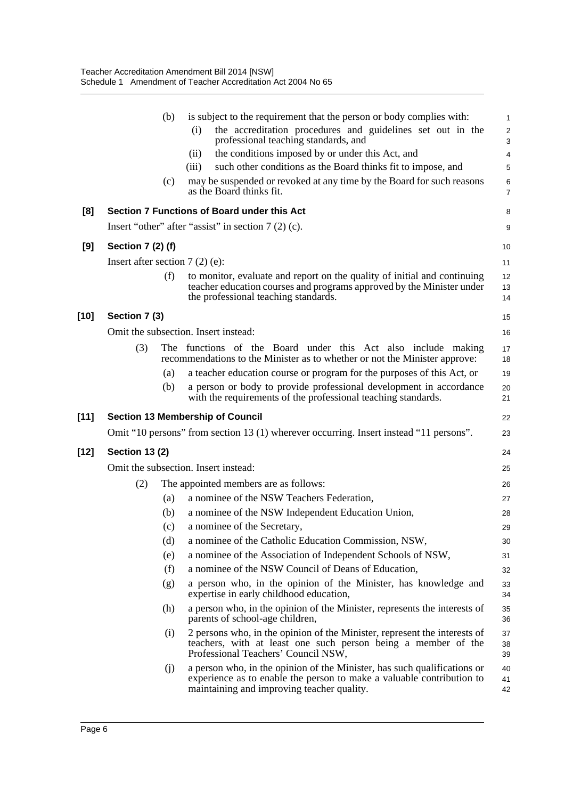|        |                                  | (b) | is subject to the requirement that the person or body complies with:<br>the accreditation procedures and guidelines set out in the<br>(i)                                                       | $\mathbf{1}$<br>$\overline{\mathbf{c}}$ |
|--------|----------------------------------|-----|-------------------------------------------------------------------------------------------------------------------------------------------------------------------------------------------------|-----------------------------------------|
|        |                                  |     | professional teaching standards, and<br>the conditions imposed by or under this Act, and<br>(ii)                                                                                                | 3<br>4                                  |
|        |                                  |     | such other conditions as the Board thinks fit to impose, and<br>(iii)                                                                                                                           | 5                                       |
|        |                                  | (c) | may be suspended or revoked at any time by the Board for such reasons<br>as the Board thinks fit.                                                                                               | 6<br>$\overline{7}$                     |
| [8]    |                                  |     | Section 7 Functions of Board under this Act                                                                                                                                                     | 8                                       |
|        |                                  |     | Insert "other" after "assist" in section $7(2)$ (c).                                                                                                                                            | 9                                       |
| [9]    | Section 7 (2) (f)                |     |                                                                                                                                                                                                 | 10                                      |
|        | Insert after section $7(2)$ (e): |     |                                                                                                                                                                                                 | 11                                      |
|        |                                  | (f) | to monitor, evaluate and report on the quality of initial and continuing<br>teacher education courses and programs approved by the Minister under<br>the professional teaching standards.       | 12<br>13<br>14                          |
| $[10]$ | Section 7 (3)                    |     |                                                                                                                                                                                                 | 15                                      |
|        |                                  |     | Omit the subsection. Insert instead:                                                                                                                                                            | 16                                      |
|        | (3)                              |     | The functions of the Board under this Act also include making<br>recommendations to the Minister as to whether or not the Minister approve:                                                     | 17<br>18                                |
|        |                                  | (a) | a teacher education course or program for the purposes of this Act, or                                                                                                                          | 19                                      |
|        |                                  | (b) | a person or body to provide professional development in accordance<br>with the requirements of the professional teaching standards.                                                             | 20<br>21                                |
| $[11]$ |                                  |     | <b>Section 13 Membership of Council</b>                                                                                                                                                         | 22                                      |
|        |                                  |     | Omit "10 persons" from section 13 (1) wherever occurring. Insert instead "11 persons".                                                                                                          | 23                                      |
| [12]   | <b>Section 13 (2)</b>            |     |                                                                                                                                                                                                 | 24                                      |
|        |                                  |     | Omit the subsection. Insert instead:                                                                                                                                                            | 25                                      |
|        | (2)                              |     | The appointed members are as follows:                                                                                                                                                           | 26                                      |
|        |                                  | (a) | a nominee of the NSW Teachers Federation,                                                                                                                                                       | 27                                      |
|        |                                  | (b) | a nominee of the NSW Independent Education Union,                                                                                                                                               | 28                                      |
|        |                                  | (c) | a nominee of the Secretary,                                                                                                                                                                     | 29                                      |
|        |                                  | (d) | a nominee of the Catholic Education Commission, NSW,                                                                                                                                            | 30                                      |
|        |                                  | (e) | a nominee of the Association of Independent Schools of NSW,                                                                                                                                     | 31                                      |
|        |                                  | (f) | a nominee of the NSW Council of Deans of Education,                                                                                                                                             | 32                                      |
|        |                                  | (g) | a person who, in the opinion of the Minister, has knowledge and<br>expertise in early childhood education,                                                                                      | 33<br>34                                |
|        |                                  | (h) | a person who, in the opinion of the Minister, represents the interests of<br>parents of school-age children,                                                                                    | 35<br>36                                |
|        |                                  | (i) | 2 persons who, in the opinion of the Minister, represent the interests of<br>teachers, with at least one such person being a member of the<br>Professional Teachers' Council NSW,               | 37<br>38<br>39                          |
|        |                                  | (i) | a person who, in the opinion of the Minister, has such qualifications or<br>experience as to enable the person to make a valuable contribution to<br>maintaining and improving teacher quality. | 40<br>41<br>42                          |
|        |                                  |     |                                                                                                                                                                                                 |                                         |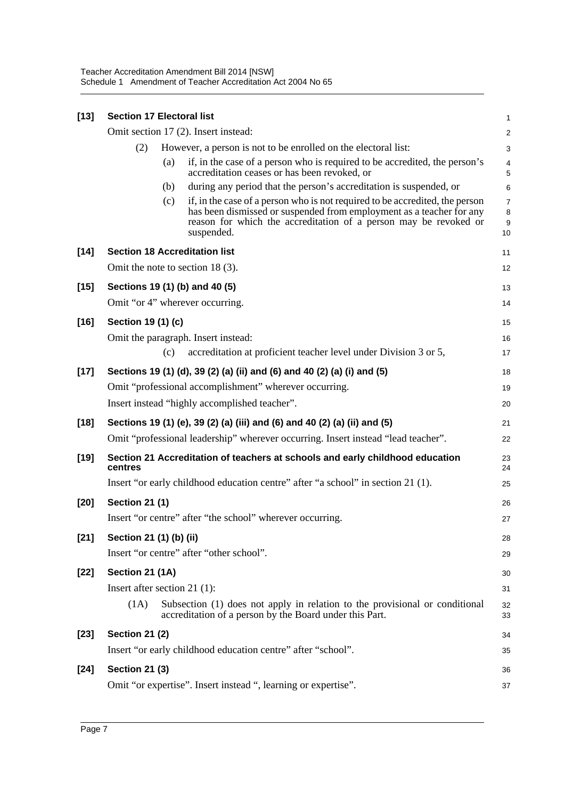| $[13]$ | <b>Section 17 Electoral list</b> |     |                                                                                                                                                                                                                                        | 1                 |
|--------|----------------------------------|-----|----------------------------------------------------------------------------------------------------------------------------------------------------------------------------------------------------------------------------------------|-------------------|
|        |                                  |     | Omit section 17 (2). Insert instead:                                                                                                                                                                                                   | $\overline{c}$    |
|        | (2)                              |     | However, a person is not to be enrolled on the electoral list:                                                                                                                                                                         | 3                 |
|        |                                  | (a) | if, in the case of a person who is required to be accredited, the person's<br>accreditation ceases or has been revoked, or                                                                                                             | 4<br>5            |
|        |                                  | (b) | during any period that the person's accreditation is suspended, or                                                                                                                                                                     | 6                 |
|        |                                  | (c) | if, in the case of a person who is not required to be accredited, the person<br>has been dismissed or suspended from employment as a teacher for any<br>reason for which the accreditation of a person may be revoked or<br>suspended. | 7<br>8<br>9<br>10 |
| $[14]$ |                                  |     | <b>Section 18 Accreditation list</b>                                                                                                                                                                                                   | 11                |
|        |                                  |     | Omit the note to section 18 $(3)$ .                                                                                                                                                                                                    | 12                |
| $[15]$ |                                  |     | Sections 19 (1) (b) and 40 (5)                                                                                                                                                                                                         | 13                |
|        |                                  |     | Omit "or 4" wherever occurring.                                                                                                                                                                                                        | 14                |
| $[16]$ | Section 19 (1) (c)               |     |                                                                                                                                                                                                                                        | 15                |
|        |                                  |     | Omit the paragraph. Insert instead:                                                                                                                                                                                                    | 16                |
|        |                                  | (c) | accreditation at proficient teacher level under Division 3 or 5,                                                                                                                                                                       | 17                |
| $[17]$ |                                  |     | Sections 19 (1) (d), 39 (2) (a) (ii) and (6) and 40 (2) (a) (i) and (5)                                                                                                                                                                | 18                |
|        |                                  |     | Omit "professional accomplishment" wherever occurring.                                                                                                                                                                                 | 19                |
|        |                                  |     | Insert instead "highly accomplished teacher".                                                                                                                                                                                          | 20                |
| $[18]$ |                                  |     | Sections 19 (1) (e), 39 (2) (a) (iii) and (6) and 40 (2) (a) (ii) and (5)                                                                                                                                                              | 21                |
|        |                                  |     | Omit "professional leadership" wherever occurring. Insert instead "lead teacher".                                                                                                                                                      | 22                |
| $[19]$ | centres                          |     | Section 21 Accreditation of teachers at schools and early childhood education                                                                                                                                                          | 23<br>24          |
|        |                                  |     | Insert "or early childhood education centre" after "a school" in section 21 (1).                                                                                                                                                       | 25                |
| $[20]$ | <b>Section 21 (1)</b>            |     |                                                                                                                                                                                                                                        | 26                |
|        |                                  |     | Insert "or centre" after "the school" wherever occurring.                                                                                                                                                                              | 27                |
| $[21]$ | Section 21 (1) (b) (ii)          |     |                                                                                                                                                                                                                                        | 28                |
|        |                                  |     | Insert "or centre" after "other school".                                                                                                                                                                                               | 29                |
| $[22]$ | Section 21 (1A)                  |     |                                                                                                                                                                                                                                        | 30                |
|        | Insert after section $21$ (1):   |     |                                                                                                                                                                                                                                        | 31                |
|        | (1A)                             |     | Subsection (1) does not apply in relation to the provisional or conditional<br>accreditation of a person by the Board under this Part.                                                                                                 | 32<br>33          |
| $[23]$ | <b>Section 21 (2)</b>            |     |                                                                                                                                                                                                                                        | 34                |
|        |                                  |     | Insert "or early childhood education centre" after "school".                                                                                                                                                                           | 35                |
| $[24]$ | <b>Section 21 (3)</b>            |     |                                                                                                                                                                                                                                        | 36                |
|        |                                  |     | Omit "or expertise". Insert instead ", learning or expertise".                                                                                                                                                                         | 37                |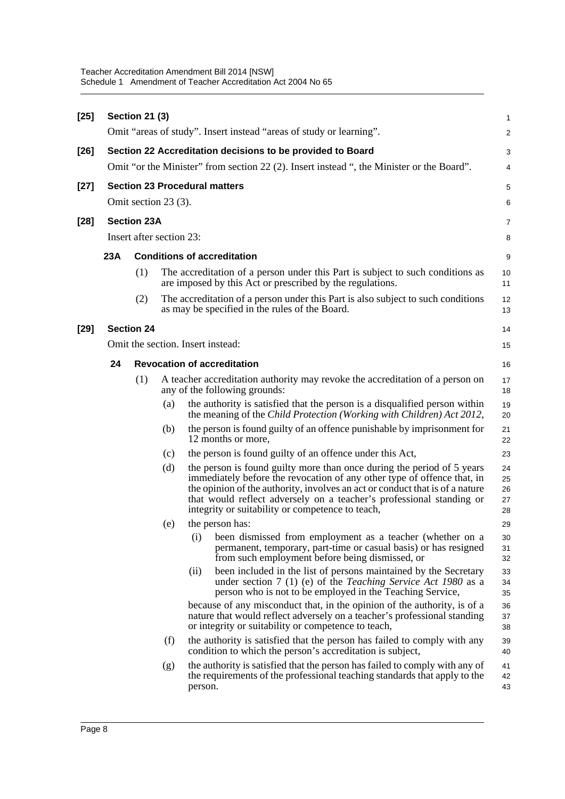| $[25]$ |     | <b>Section 21 (3)</b>                          |     | Omit "areas of study". Insert instead "areas of study or learning".                                                                                                                                                                                                                                                                                           | 1<br>$\overline{\mathbf{c}}$ |
|--------|-----|------------------------------------------------|-----|---------------------------------------------------------------------------------------------------------------------------------------------------------------------------------------------------------------------------------------------------------------------------------------------------------------------------------------------------------------|------------------------------|
|        |     |                                                |     |                                                                                                                                                                                                                                                                                                                                                               |                              |
| $[26]$ |     |                                                |     | Section 22 Accreditation decisions to be provided to Board<br>Omit "or the Minister" from section 22 (2). Insert instead ", the Minister or the Board".                                                                                                                                                                                                       | 3                            |
|        |     |                                                |     |                                                                                                                                                                                                                                                                                                                                                               | 4                            |
| $[27]$ |     | Omit section 23 (3).                           |     | <b>Section 23 Procedural matters</b>                                                                                                                                                                                                                                                                                                                          | 5                            |
|        |     |                                                |     |                                                                                                                                                                                                                                                                                                                                                               | 6                            |
| $[28]$ |     | <b>Section 23A</b><br>Insert after section 23: |     |                                                                                                                                                                                                                                                                                                                                                               | 7                            |
|        |     |                                                |     |                                                                                                                                                                                                                                                                                                                                                               | 8                            |
|        | 23A |                                                |     | <b>Conditions of accreditation</b>                                                                                                                                                                                                                                                                                                                            | 9                            |
|        |     | (1)                                            |     | The accreditation of a person under this Part is subject to such conditions as<br>are imposed by this Act or prescribed by the regulations.                                                                                                                                                                                                                   | 10<br>11                     |
|        |     | (2)                                            |     | The accreditation of a person under this Part is also subject to such conditions<br>as may be specified in the rules of the Board.                                                                                                                                                                                                                            | 12<br>13                     |
| $[29]$ |     | <b>Section 24</b>                              |     |                                                                                                                                                                                                                                                                                                                                                               | 14                           |
|        |     |                                                |     | Omit the section. Insert instead:                                                                                                                                                                                                                                                                                                                             | 15                           |
|        | 24  |                                                |     | <b>Revocation of accreditation</b>                                                                                                                                                                                                                                                                                                                            | 16                           |
|        |     | (1)                                            |     | A teacher accreditation authority may revoke the accreditation of a person on<br>any of the following grounds:                                                                                                                                                                                                                                                | 17<br>18                     |
|        |     |                                                | (a) | the authority is satisfied that the person is a disqualified person within<br>the meaning of the Child Protection (Working with Children) Act 2012,                                                                                                                                                                                                           | 19<br>20                     |
|        |     |                                                | (b) | the person is found guilty of an offence punishable by imprisonment for<br>12 months or more,                                                                                                                                                                                                                                                                 | 21<br>22                     |
|        |     |                                                | (c) | the person is found guilty of an offence under this Act,                                                                                                                                                                                                                                                                                                      | 23                           |
|        |     |                                                | (d) | the person is found guilty more than once during the period of 5 years<br>immediately before the revocation of any other type of offence that, in<br>the opinion of the authority, involves an act or conduct that is of a nature<br>that would reflect adversely on a teacher's professional standing or<br>integrity or suitability or competence to teach, | 24<br>25<br>26<br>27<br>28   |
|        |     |                                                | (e) | the person has:                                                                                                                                                                                                                                                                                                                                               | 29                           |
|        |     |                                                |     | (i) been dismissed from employment as a teacher (whether on a<br>permanent, temporary, part-time or casual basis) or has resigned<br>from such employment before being dismissed, or                                                                                                                                                                          | 30<br>31<br>32               |
|        |     |                                                |     | been included in the list of persons maintained by the Secretary<br>(ii)<br>under section 7 (1) (e) of the Teaching Service Act 1980 as a<br>person who is not to be employed in the Teaching Service,                                                                                                                                                        | 33<br>34<br>35               |
|        |     |                                                |     | because of any misconduct that, in the opinion of the authority, is of a<br>nature that would reflect adversely on a teacher's professional standing<br>or integrity or suitability or competence to teach,                                                                                                                                                   | 36<br>37<br>38               |
|        |     |                                                | (f) | the authority is satisfied that the person has failed to comply with any<br>condition to which the person's accreditation is subject,                                                                                                                                                                                                                         | 39<br>40                     |
|        |     |                                                | (g) | the authority is satisfied that the person has failed to comply with any of<br>the requirements of the professional teaching standards that apply to the<br>person.                                                                                                                                                                                           | 41<br>42<br>43               |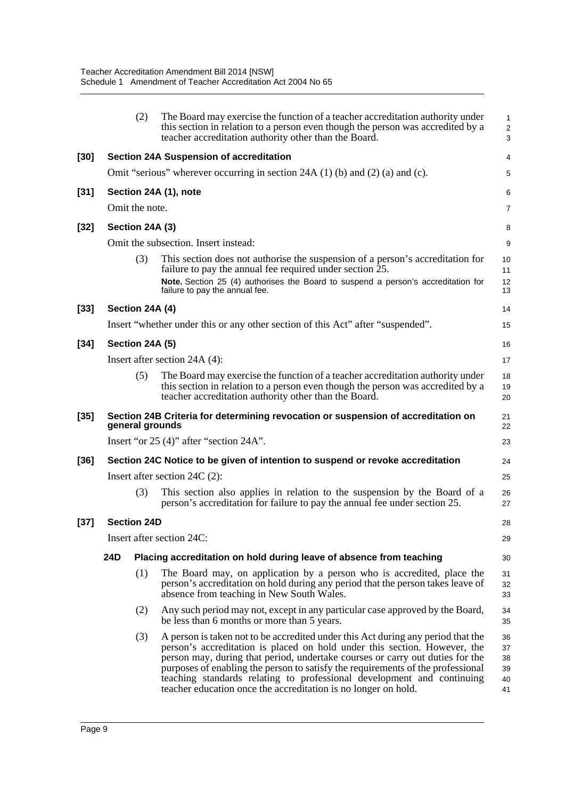|        |                                                                                | (2)                | The Board may exercise the function of a teacher accreditation authority under<br>this section in relation to a person even though the person was accredited by a<br>teacher accreditation authority other than the Board.                                                                                                                                                                                                                                                    | 1<br>$\overline{\mathbf{c}}$<br>3 |  |  |  |
|--------|--------------------------------------------------------------------------------|--------------------|-------------------------------------------------------------------------------------------------------------------------------------------------------------------------------------------------------------------------------------------------------------------------------------------------------------------------------------------------------------------------------------------------------------------------------------------------------------------------------|-----------------------------------|--|--|--|
| [30]   |                                                                                |                    | <b>Section 24A Suspension of accreditation</b>                                                                                                                                                                                                                                                                                                                                                                                                                                | 4                                 |  |  |  |
|        |                                                                                |                    | Omit "serious" wherever occurring in section 24A (1) (b) and (2) (a) and (c).                                                                                                                                                                                                                                                                                                                                                                                                 | 5                                 |  |  |  |
| $[31]$ |                                                                                |                    | Section 24A (1), note                                                                                                                                                                                                                                                                                                                                                                                                                                                         | 6                                 |  |  |  |
|        |                                                                                | Omit the note.     |                                                                                                                                                                                                                                                                                                                                                                                                                                                                               | 7                                 |  |  |  |
| [32]   |                                                                                | Section 24A (3)    |                                                                                                                                                                                                                                                                                                                                                                                                                                                                               | 8                                 |  |  |  |
|        |                                                                                |                    | Omit the subsection. Insert instead:                                                                                                                                                                                                                                                                                                                                                                                                                                          | 9                                 |  |  |  |
|        |                                                                                | (3)                | This section does not authorise the suspension of a person's accreditation for<br>failure to pay the annual fee required under section 25.<br>Note. Section 25 (4) authorises the Board to suspend a person's accreditation for                                                                                                                                                                                                                                               | 10<br>11<br>12                    |  |  |  |
|        |                                                                                |                    | failure to pay the annual fee.                                                                                                                                                                                                                                                                                                                                                                                                                                                | 13                                |  |  |  |
| $[33]$ |                                                                                | Section 24A (4)    |                                                                                                                                                                                                                                                                                                                                                                                                                                                                               | 14                                |  |  |  |
|        |                                                                                |                    | Insert "whether under this or any other section of this Act" after "suspended".                                                                                                                                                                                                                                                                                                                                                                                               | 15                                |  |  |  |
| $[34]$ |                                                                                | Section 24A (5)    |                                                                                                                                                                                                                                                                                                                                                                                                                                                                               | 16                                |  |  |  |
|        |                                                                                |                    | Insert after section 24A (4):                                                                                                                                                                                                                                                                                                                                                                                                                                                 | 17                                |  |  |  |
|        |                                                                                | (5)                | The Board may exercise the function of a teacher accreditation authority under<br>this section in relation to a person even though the person was accredited by a<br>teacher accreditation authority other than the Board.                                                                                                                                                                                                                                                    | 18<br>19<br>20                    |  |  |  |
| [35]   |                                                                                |                    | Section 24B Criteria for determining revocation or suspension of accreditation on<br>general grounds                                                                                                                                                                                                                                                                                                                                                                          | 21<br>22                          |  |  |  |
|        |                                                                                |                    | Insert "or 25 (4)" after "section 24A".                                                                                                                                                                                                                                                                                                                                                                                                                                       | 23                                |  |  |  |
| [36]   | Section 24C Notice to be given of intention to suspend or revoke accreditation |                    |                                                                                                                                                                                                                                                                                                                                                                                                                                                                               |                                   |  |  |  |
|        |                                                                                |                    | Insert after section $24C(2)$ :                                                                                                                                                                                                                                                                                                                                                                                                                                               | 25                                |  |  |  |
|        |                                                                                | (3)                | This section also applies in relation to the suspension by the Board of a<br>person's accreditation for failure to pay the annual fee under section 25.                                                                                                                                                                                                                                                                                                                       | 26<br>27                          |  |  |  |
| [37]   |                                                                                | <b>Section 24D</b> |                                                                                                                                                                                                                                                                                                                                                                                                                                                                               | 28                                |  |  |  |
|        |                                                                                |                    | Insert after section 24C:                                                                                                                                                                                                                                                                                                                                                                                                                                                     | 29                                |  |  |  |
|        | 24D                                                                            |                    | Placing accreditation on hold during leave of absence from teaching                                                                                                                                                                                                                                                                                                                                                                                                           | 30                                |  |  |  |
|        |                                                                                | (1)                | The Board may, on application by a person who is accredited, place the<br>person's accreditation on hold during any period that the person takes leave of<br>absence from teaching in New South Wales.                                                                                                                                                                                                                                                                        | 31<br>32<br>33                    |  |  |  |
|        |                                                                                | (2)                | Any such period may not, except in any particular case approved by the Board,<br>be less than 6 months or more than 5 years.                                                                                                                                                                                                                                                                                                                                                  | 34<br>35                          |  |  |  |
|        |                                                                                | (3)                | A person is taken not to be accredited under this Act during any period that the<br>person's accreditation is placed on hold under this section. However, the<br>person may, during that period, undertake courses or carry out duties for the<br>purposes of enabling the person to satisfy the requirements of the professional<br>teaching standards relating to professional development and continuing<br>teacher education once the accreditation is no longer on hold. | 36<br>37<br>38<br>39<br>40<br>41  |  |  |  |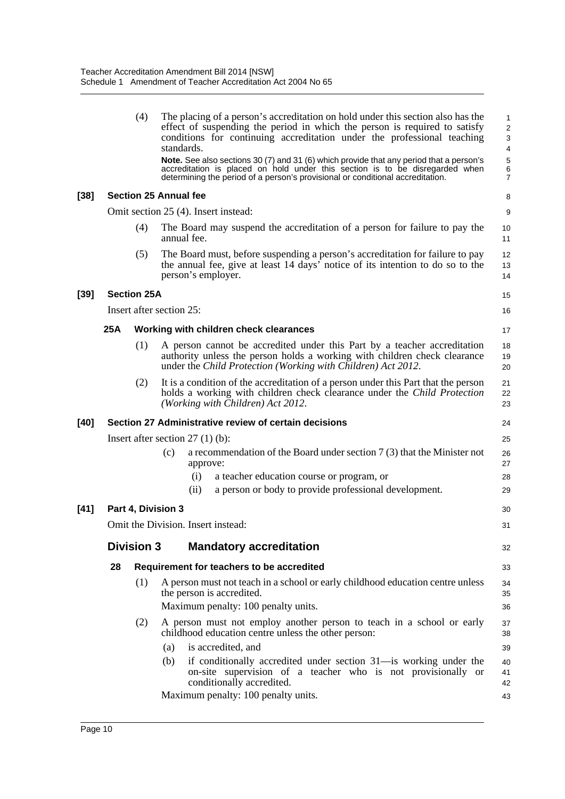|      |     | (4)                | The placing of a person's accreditation on hold under this section also has the<br>effect of suspending the period in which the person is required to satisfy<br>conditions for continuing accreditation under the professional teaching<br>standards.<br>Note. See also sections 30 (7) and 31 (6) which provide that any period that a person's<br>accreditation is placed on hold under this section is to be disregarded when<br>determining the period of a person's provisional or conditional accreditation. | 1<br>$\overline{\mathbf{c}}$<br>3<br>$\overline{\mathbf{4}}$<br>5<br>6<br>7 |
|------|-----|--------------------|---------------------------------------------------------------------------------------------------------------------------------------------------------------------------------------------------------------------------------------------------------------------------------------------------------------------------------------------------------------------------------------------------------------------------------------------------------------------------------------------------------------------|-----------------------------------------------------------------------------|
| [38] |     |                    | <b>Section 25 Annual fee</b>                                                                                                                                                                                                                                                                                                                                                                                                                                                                                        | 8                                                                           |
|      |     |                    | Omit section 25 (4). Insert instead:                                                                                                                                                                                                                                                                                                                                                                                                                                                                                | 9                                                                           |
|      |     | (4)                | The Board may suspend the accreditation of a person for failure to pay the<br>annual fee.                                                                                                                                                                                                                                                                                                                                                                                                                           | 10<br>11                                                                    |
|      |     | (5)                | The Board must, before suspending a person's accreditation for failure to pay<br>the annual fee, give at least 14 days' notice of its intention to do so to the<br>person's employer.                                                                                                                                                                                                                                                                                                                               | 12<br>13<br>14                                                              |
| [39] |     | <b>Section 25A</b> |                                                                                                                                                                                                                                                                                                                                                                                                                                                                                                                     | 15                                                                          |
|      |     |                    | Insert after section 25:                                                                                                                                                                                                                                                                                                                                                                                                                                                                                            | 16                                                                          |
|      | 25A |                    | Working with children check clearances                                                                                                                                                                                                                                                                                                                                                                                                                                                                              | 17                                                                          |
|      |     | (1)                | A person cannot be accredited under this Part by a teacher accreditation<br>authority unless the person holds a working with children check clearance<br>under the Child Protection (Working with Children) Act 2012.                                                                                                                                                                                                                                                                                               | 18<br>19<br>20                                                              |
|      |     | (2)                | It is a condition of the accreditation of a person under this Part that the person<br>holds a working with children check clearance under the Child Protection<br>(Working with Children) Act 2012.                                                                                                                                                                                                                                                                                                                 | 21<br>22<br>23                                                              |
| [40] |     |                    | Section 27 Administrative review of certain decisions                                                                                                                                                                                                                                                                                                                                                                                                                                                               | 24                                                                          |
|      |     |                    | Insert after section $27(1)(b)$ :                                                                                                                                                                                                                                                                                                                                                                                                                                                                                   | 25                                                                          |
|      |     |                    | a recommendation of the Board under section $7(3)$ that the Minister not<br>(c)<br>approve:                                                                                                                                                                                                                                                                                                                                                                                                                         | 26<br>27                                                                    |
|      |     |                    | (i)<br>a teacher education course or program, or<br>a person or body to provide professional development.<br>(ii)                                                                                                                                                                                                                                                                                                                                                                                                   | 28<br>29                                                                    |
| [41] |     |                    | Part 4, Division 3                                                                                                                                                                                                                                                                                                                                                                                                                                                                                                  | 30                                                                          |
|      |     |                    | Omit the Division. Insert instead:                                                                                                                                                                                                                                                                                                                                                                                                                                                                                  | 31                                                                          |
|      |     | <b>Division 3</b>  | <b>Mandatory accreditation</b>                                                                                                                                                                                                                                                                                                                                                                                                                                                                                      | 32                                                                          |
|      | 28  |                    | Requirement for teachers to be accredited                                                                                                                                                                                                                                                                                                                                                                                                                                                                           | 33                                                                          |
|      |     | (1)                | A person must not teach in a school or early childhood education centre unless<br>the person is accredited.                                                                                                                                                                                                                                                                                                                                                                                                         | 34<br>35                                                                    |
|      |     |                    | Maximum penalty: 100 penalty units.                                                                                                                                                                                                                                                                                                                                                                                                                                                                                 | 36                                                                          |
|      |     | (2)                | A person must not employ another person to teach in a school or early<br>childhood education centre unless the other person:                                                                                                                                                                                                                                                                                                                                                                                        | 37<br>38                                                                    |
|      |     |                    | is accredited, and<br>(a)                                                                                                                                                                                                                                                                                                                                                                                                                                                                                           | 39                                                                          |
|      |     |                    | (b)<br>if conditionally accredited under section 31—is working under the<br>on-site supervision of a teacher who is not provisionally or<br>conditionally accredited.                                                                                                                                                                                                                                                                                                                                               | 40<br>41<br>42                                                              |
|      |     |                    | Maximum penalty: 100 penalty units.                                                                                                                                                                                                                                                                                                                                                                                                                                                                                 | 43                                                                          |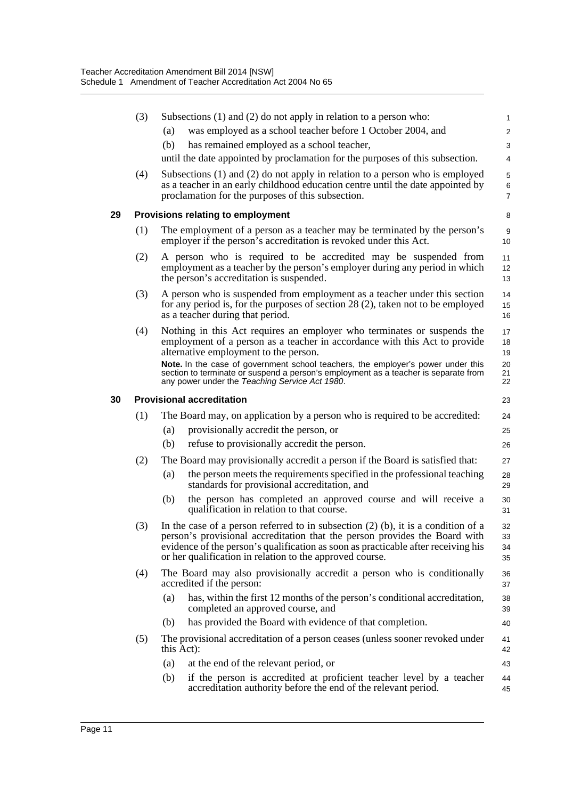|    | (3) |                                  | Subsections $(1)$ and $(2)$ do not apply in relation to a person who:                                                                                                                                                                                                                                              | 1                        |
|----|-----|----------------------------------|--------------------------------------------------------------------------------------------------------------------------------------------------------------------------------------------------------------------------------------------------------------------------------------------------------------------|--------------------------|
|    |     | (a)                              | was employed as a school teacher before 1 October 2004, and                                                                                                                                                                                                                                                        | 2                        |
|    |     | (b)                              | has remained employed as a school teacher,                                                                                                                                                                                                                                                                         | 3                        |
|    |     |                                  | until the date appointed by proclamation for the purposes of this subsection.                                                                                                                                                                                                                                      | $\overline{4}$           |
|    | (4) |                                  | Subsections $(1)$ and $(2)$ do not apply in relation to a person who is employed<br>as a teacher in an early childhood education centre until the date appointed by<br>proclamation for the purposes of this subsection.                                                                                           | 5<br>6<br>$\overline{7}$ |
| 29 |     |                                  | Provisions relating to employment                                                                                                                                                                                                                                                                                  | 8                        |
|    | (1) |                                  | The employment of a person as a teacher may be terminated by the person's<br>employer if the person's accreditation is revoked under this Act.                                                                                                                                                                     | 9<br>10                  |
|    | (2) |                                  | A person who is required to be accredited may be suspended from<br>employment as a teacher by the person's employer during any period in which<br>the person's accreditation is suspended.                                                                                                                         | 11<br>12<br>13           |
|    | (3) |                                  | A person who is suspended from employment as a teacher under this section<br>for any period is, for the purposes of section 28 (2), taken not to be employed<br>as a teacher during that period.                                                                                                                   | 14<br>15<br>16           |
|    | (4) |                                  | Nothing in this Act requires an employer who terminates or suspends the<br>employment of a person as a teacher in accordance with this Act to provide<br>alternative employment to the person.                                                                                                                     | 17<br>18<br>19           |
|    |     |                                  | Note. In the case of government school teachers, the employer's power under this<br>section to terminate or suspend a person's employment as a teacher is separate from<br>any power under the Teaching Service Act 1980.                                                                                          | 20<br>21<br>22           |
| 30 |     | <b>Provisional accreditation</b> |                                                                                                                                                                                                                                                                                                                    | 23                       |
|    | (1) |                                  | The Board may, on application by a person who is required to be accredited:                                                                                                                                                                                                                                        | 24                       |
|    |     | (a)                              | provisionally accredit the person, or                                                                                                                                                                                                                                                                              | 25                       |
|    |     | (b)                              | refuse to provisionally accredit the person.                                                                                                                                                                                                                                                                       | 26                       |
|    | (2) |                                  | The Board may provisionally accredit a person if the Board is satisfied that:                                                                                                                                                                                                                                      | 27                       |
|    |     | (a)                              | the person meets the requirements specified in the professional teaching<br>standards for provisional accreditation, and                                                                                                                                                                                           | 28<br>29                 |
|    |     | (b)                              | the person has completed an approved course and will receive a<br>qualification in relation to that course.                                                                                                                                                                                                        | 30<br>31                 |
|    | (3) |                                  | In the case of a person referred to in subsection $(2)$ (b), it is a condition of a<br>person's provisional accreditation that the person provides the Board with<br>evidence of the person's qualification as soon as practicable after receiving his<br>or her qualification in relation to the approved course. | 32<br>33<br>34<br>35     |
|    | (4) | accredited if the person:        | The Board may also provisionally accredit a person who is conditionally                                                                                                                                                                                                                                            | 36<br>37                 |
|    |     | (a)                              | has, within the first 12 months of the person's conditional accreditation,<br>completed an approved course, and                                                                                                                                                                                                    | 38<br>39                 |
|    |     | (b)                              | has provided the Board with evidence of that completion.                                                                                                                                                                                                                                                           | 40                       |
|    | (5) | this Act):                       | The provisional accreditation of a person ceases (unless sooner revoked under                                                                                                                                                                                                                                      | 41<br>42                 |
|    |     | (a)                              | at the end of the relevant period, or                                                                                                                                                                                                                                                                              | 43                       |
|    |     | (b)                              | if the person is accredited at proficient teacher level by a teacher<br>accreditation authority before the end of the relevant period.                                                                                                                                                                             | 44<br>45                 |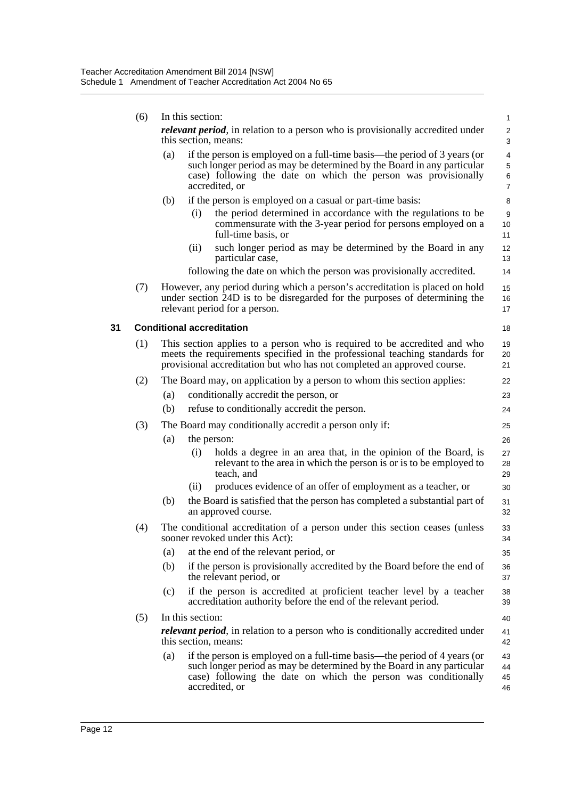|    | (6) |     | In this section:                                                                                                                                                                                                                       | 1                             |
|----|-----|-----|----------------------------------------------------------------------------------------------------------------------------------------------------------------------------------------------------------------------------------------|-------------------------------|
|    |     |     | relevant period, in relation to a person who is provisionally accredited under<br>this section, means:                                                                                                                                 | $\overline{\mathbf{c}}$<br>3  |
|    |     | (a) | if the person is employed on a full-time basis—the period of 3 years (or<br>such longer period as may be determined by the Board in any particular<br>case) following the date on which the person was provisionally<br>accredited, or | 4<br>5<br>6<br>$\overline{7}$ |
|    |     | (b) | if the person is employed on a casual or part-time basis:                                                                                                                                                                              | 8                             |
|    |     |     | the period determined in accordance with the regulations to be<br>(i)<br>commensurate with the 3-year period for persons employed on a<br>full-time basis, or                                                                          | 9<br>10<br>11                 |
|    |     |     | such longer period as may be determined by the Board in any<br>(ii)<br>particular case,                                                                                                                                                | 12<br>13                      |
|    |     |     | following the date on which the person was provisionally accredited.                                                                                                                                                                   | 14                            |
|    | (7) |     | However, any period during which a person's accreditation is placed on hold<br>under section 24D is to be disregarded for the purposes of determining the<br>relevant period for a person.                                             | 15<br>16<br>17                |
| 31 |     |     | <b>Conditional accreditation</b>                                                                                                                                                                                                       | 18                            |
|    | (1) |     | This section applies to a person who is required to be accredited and who<br>meets the requirements specified in the professional teaching standards for<br>provisional accreditation but who has not completed an approved course.    | 19<br>20<br>21                |
|    | (2) |     | The Board may, on application by a person to whom this section applies:                                                                                                                                                                | 22                            |
|    |     | (a) | conditionally accredit the person, or                                                                                                                                                                                                  | 23                            |
|    |     | (b) | refuse to conditionally accredit the person.                                                                                                                                                                                           | 24                            |
|    | (3) |     | The Board may conditionally accredit a person only if:                                                                                                                                                                                 | 25                            |
|    |     | (a) | the person:                                                                                                                                                                                                                            | 26                            |
|    |     |     | holds a degree in an area that, in the opinion of the Board, is<br>(i)<br>relevant to the area in which the person is or is to be employed to<br>teach, and                                                                            | 27<br>28<br>29                |
|    |     |     | produces evidence of an offer of employment as a teacher, or<br>(i)                                                                                                                                                                    | 30                            |
|    |     | (b) | the Board is satisfied that the person has completed a substantial part of<br>an approved course.                                                                                                                                      | 31<br>32                      |
|    | (4) |     | The conditional accreditation of a person under this section ceases (unless<br>sooner revoked under this Act):                                                                                                                         | 33<br>34                      |
|    |     | (a) | at the end of the relevant period, or                                                                                                                                                                                                  | 35                            |
|    |     | (b) | if the person is provisionally accredited by the Board before the end of<br>the relevant period, or                                                                                                                                    | 36<br>37                      |
|    |     | (c) | if the person is accredited at proficient teacher level by a teacher<br>accreditation authority before the end of the relevant period.                                                                                                 | 38<br>39                      |
|    | (5) |     | In this section:                                                                                                                                                                                                                       | 40                            |
|    |     |     | relevant period, in relation to a person who is conditionally accredited under<br>this section, means:                                                                                                                                 | 41<br>42                      |
|    |     | (a) | if the person is employed on a full-time basis—the period of 4 years (or<br>such longer period as may be determined by the Board in any particular<br>case) following the date on which the person was conditionally<br>accredited, or | 43<br>44<br>45<br>46          |
|    |     |     |                                                                                                                                                                                                                                        |                               |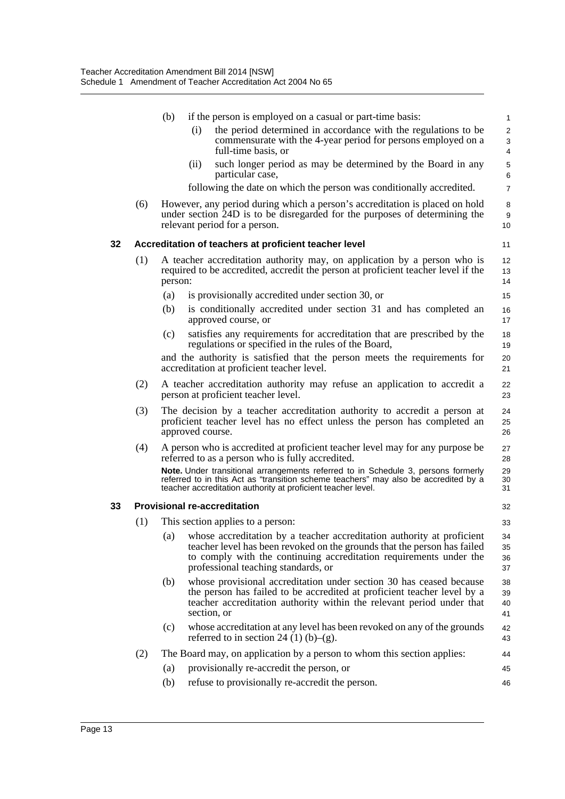|    |     | (b)                                                                                                                                                                      | if the person is employed on a casual or part-time basis:                                                                                                                                                                                                       | $\mathbf{1}$                        |  |
|----|-----|--------------------------------------------------------------------------------------------------------------------------------------------------------------------------|-----------------------------------------------------------------------------------------------------------------------------------------------------------------------------------------------------------------------------------------------------------------|-------------------------------------|--|
|    |     |                                                                                                                                                                          | the period determined in accordance with the regulations to be<br>(i)<br>commensurate with the 4-year period for persons employed on a<br>full-time basis, or                                                                                                   | $\mathbf{2}$<br>3<br>$\overline{4}$ |  |
|    |     |                                                                                                                                                                          | such longer period as may be determined by the Board in any<br>(ii)<br>particular case,                                                                                                                                                                         | 5<br>6                              |  |
|    |     |                                                                                                                                                                          | following the date on which the person was conditionally accredited.                                                                                                                                                                                            | $\overline{7}$                      |  |
|    | (6) |                                                                                                                                                                          | However, any period during which a person's accreditation is placed on hold<br>under section 24D is to be disregarded for the purposes of determining the<br>relevant period for a person.                                                                      | 8<br>9<br>10                        |  |
| 32 |     |                                                                                                                                                                          | Accreditation of teachers at proficient teacher level                                                                                                                                                                                                           | 11                                  |  |
|    | (1) | A teacher accreditation authority may, on application by a person who is<br>required to be accredited, accredit the person at proficient teacher level if the<br>person: |                                                                                                                                                                                                                                                                 |                                     |  |
|    |     | (a)                                                                                                                                                                      | is provisionally accredited under section 30, or                                                                                                                                                                                                                | 15                                  |  |
|    |     | (b)                                                                                                                                                                      | is conditionally accredited under section 31 and has completed an<br>approved course, or                                                                                                                                                                        | 16<br>17                            |  |
|    |     | (c)                                                                                                                                                                      | satisfies any requirements for accreditation that are prescribed by the<br>regulations or specified in the rules of the Board,                                                                                                                                  | 18<br>19                            |  |
|    |     |                                                                                                                                                                          | and the authority is satisfied that the person meets the requirements for<br>accreditation at proficient teacher level.                                                                                                                                         | 20<br>21                            |  |
|    | (2) |                                                                                                                                                                          | A teacher accreditation authority may refuse an application to accredit a<br>person at proficient teacher level.                                                                                                                                                | 22<br>23                            |  |
|    | (3) |                                                                                                                                                                          | The decision by a teacher accreditation authority to accredit a person at<br>proficient teacher level has no effect unless the person has completed an<br>approved course.                                                                                      | 24<br>25<br>26                      |  |
|    | (4) |                                                                                                                                                                          | A person who is accredited at proficient teacher level may for any purpose be<br>referred to as a person who is fully accredited.                                                                                                                               | 27<br>28                            |  |
|    |     |                                                                                                                                                                          | Note. Under transitional arrangements referred to in Schedule 3, persons formerly<br>referred to in this Act as "transition scheme teachers" may also be accredited by a<br>teacher accreditation authority at proficient teacher level.                        | 29<br>30<br>31                      |  |
| 33 |     |                                                                                                                                                                          | <b>Provisional re-accreditation</b>                                                                                                                                                                                                                             | 32                                  |  |
|    | (1) |                                                                                                                                                                          | This section applies to a person:                                                                                                                                                                                                                               | 33                                  |  |
|    |     | (a)                                                                                                                                                                      | whose accreditation by a teacher accreditation authority at proficient<br>teacher level has been revoked on the grounds that the person has failed<br>to comply with the continuing accreditation requirements under the<br>professional teaching standards, or | 34<br>35<br>36<br>37                |  |
|    |     | (b)                                                                                                                                                                      | whose provisional accreditation under section 30 has ceased because<br>the person has failed to be accredited at proficient teacher level by a<br>teacher accreditation authority within the relevant period under that<br>section, or                          | 38<br>39<br>40<br>41                |  |
|    |     | (c)                                                                                                                                                                      | whose accreditation at any level has been revoked on any of the grounds<br>referred to in section 24 (1) (b)–(g).                                                                                                                                               | 42<br>43                            |  |
|    | (2) |                                                                                                                                                                          | The Board may, on application by a person to whom this section applies:                                                                                                                                                                                         | 44                                  |  |
|    |     | (a)                                                                                                                                                                      | provisionally re-accredit the person, or                                                                                                                                                                                                                        | 45                                  |  |
|    |     | (b)                                                                                                                                                                      | refuse to provisionally re-accredit the person.                                                                                                                                                                                                                 | 46                                  |  |
|    |     |                                                                                                                                                                          |                                                                                                                                                                                                                                                                 |                                     |  |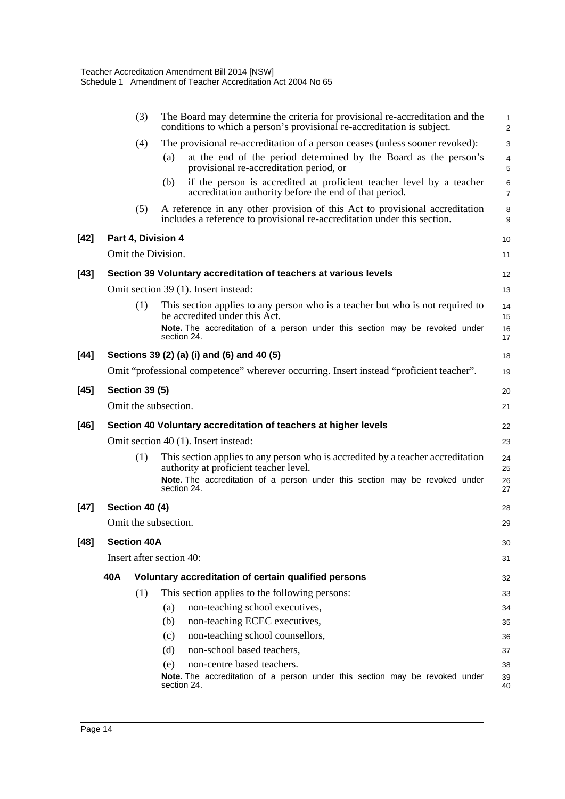|        |                                                                 | (3)                                                                                     |     | The Board may determine the criteria for provisional re-accreditation and the<br>conditions to which a person's provisional re-accreditation is subject. | $\mathbf{1}$<br>$\overline{2}$ |  |  |
|--------|-----------------------------------------------------------------|-----------------------------------------------------------------------------------------|-----|----------------------------------------------------------------------------------------------------------------------------------------------------------|--------------------------------|--|--|
|        |                                                                 | (4)                                                                                     |     | The provisional re-accreditation of a person ceases (unless sooner revoked):                                                                             | 3                              |  |  |
|        |                                                                 |                                                                                         | (a) | at the end of the period determined by the Board as the person's<br>provisional re-accreditation period, or                                              | 4<br>5                         |  |  |
|        |                                                                 |                                                                                         | (b) | if the person is accredited at proficient teacher level by a teacher<br>accreditation authority before the end of that period.                           | $\,6$<br>$\overline{7}$        |  |  |
|        |                                                                 | (5)                                                                                     |     | A reference in any other provision of this Act to provisional accreditation<br>includes a reference to provisional re-accreditation under this section.  | 8<br>$\boldsymbol{9}$          |  |  |
| [42]   | Part 4, Division 4                                              |                                                                                         |     |                                                                                                                                                          |                                |  |  |
|        |                                                                 | Omit the Division.                                                                      |     |                                                                                                                                                          | 11                             |  |  |
| $[43]$ |                                                                 |                                                                                         |     | Section 39 Voluntary accreditation of teachers at various levels                                                                                         | 12                             |  |  |
|        |                                                                 |                                                                                         |     | Omit section 39 (1). Insert instead:                                                                                                                     | 13                             |  |  |
|        |                                                                 | (1)                                                                                     |     | This section applies to any person who is a teacher but who is not required to<br>be accredited under this Act.                                          | 14<br>15                       |  |  |
|        |                                                                 |                                                                                         |     | Note. The accreditation of a person under this section may be revoked under<br>section 24.                                                               | 16<br>17                       |  |  |
| $[44]$ |                                                                 |                                                                                         |     | Sections 39 (2) (a) (i) and (6) and 40 (5)                                                                                                               | 18                             |  |  |
|        |                                                                 | Omit "professional competence" wherever occurring. Insert instead "proficient teacher". |     |                                                                                                                                                          |                                |  |  |
| [45]   |                                                                 | <b>Section 39 (5)</b>                                                                   |     |                                                                                                                                                          | 20                             |  |  |
|        | Omit the subsection.                                            |                                                                                         |     |                                                                                                                                                          |                                |  |  |
| [46]   | Section 40 Voluntary accreditation of teachers at higher levels |                                                                                         |     |                                                                                                                                                          |                                |  |  |
|        |                                                                 |                                                                                         |     | Omit section 40 (1). Insert instead:                                                                                                                     | 23                             |  |  |
|        |                                                                 | (1)                                                                                     |     | This section applies to any person who is accredited by a teacher accreditation<br>authority at proficient teacher level.                                | 24<br>25                       |  |  |
|        |                                                                 |                                                                                         |     | Note. The accreditation of a person under this section may be revoked under<br>section 24.                                                               | 26<br>27                       |  |  |
| $[47]$ |                                                                 | Section 40 (4)                                                                          |     |                                                                                                                                                          | 28                             |  |  |
|        | Omit the subsection.                                            |                                                                                         |     |                                                                                                                                                          |                                |  |  |
| $[48]$ | <b>Section 40A</b>                                              |                                                                                         |     |                                                                                                                                                          |                                |  |  |
|        | Insert after section 40:                                        |                                                                                         |     |                                                                                                                                                          |                                |  |  |
|        | 40A                                                             |                                                                                         |     | Voluntary accreditation of certain qualified persons                                                                                                     | 32                             |  |  |
|        |                                                                 | (1)                                                                                     |     | This section applies to the following persons:                                                                                                           | 33                             |  |  |
|        |                                                                 |                                                                                         | (a) | non-teaching school executives,                                                                                                                          | 34                             |  |  |
|        |                                                                 |                                                                                         | (b) | non-teaching ECEC executives,                                                                                                                            | 35                             |  |  |
|        |                                                                 |                                                                                         | (c) | non-teaching school counsellors,                                                                                                                         | 36                             |  |  |
|        |                                                                 |                                                                                         | (d) | non-school based teachers,                                                                                                                               | 37                             |  |  |
|        |                                                                 |                                                                                         | (e) | non-centre based teachers.                                                                                                                               | 38                             |  |  |
|        |                                                                 |                                                                                         |     | Note. The accreditation of a person under this section may be revoked under<br>section 24.                                                               | 39<br>40                       |  |  |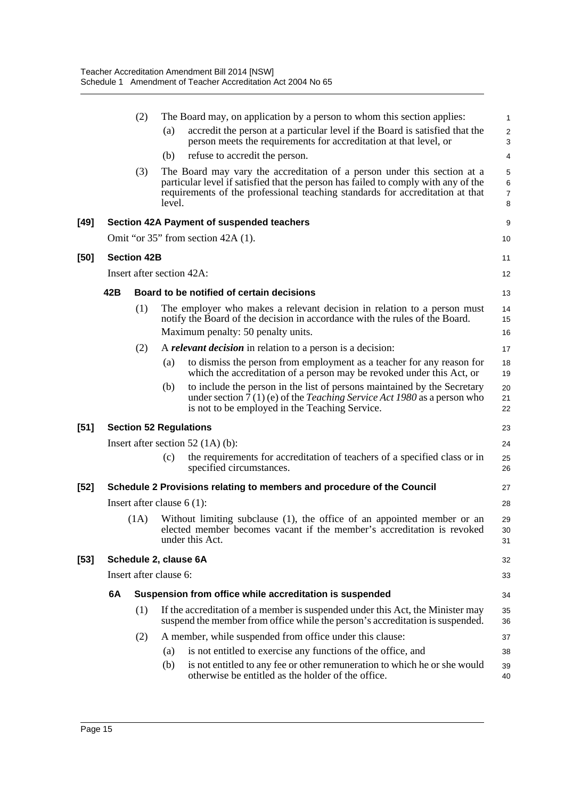|        |                                                                        | (2)                          | (a)                                                     | The Board may, on application by a person to whom this section applies:<br>accredit the person at a particular level if the Board is satisfied that the                                                                                         | 1<br>$\boldsymbol{2}$                     |  |
|--------|------------------------------------------------------------------------|------------------------------|---------------------------------------------------------|-------------------------------------------------------------------------------------------------------------------------------------------------------------------------------------------------------------------------------------------------|-------------------------------------------|--|
|        |                                                                        |                              |                                                         | person meets the requirements for accreditation at that level, or                                                                                                                                                                               | 3                                         |  |
|        |                                                                        |                              | (b)                                                     | refuse to accredit the person.                                                                                                                                                                                                                  | 4                                         |  |
|        |                                                                        | (3)                          | level.                                                  | The Board may vary the accreditation of a person under this section at a<br>particular level if satisfied that the person has failed to comply with any of the<br>requirements of the professional teaching standards for accreditation at that | $\mathbf 5$<br>6<br>$\boldsymbol{7}$<br>8 |  |
| [49]   | Section 42A Payment of suspended teachers                              |                              |                                                         |                                                                                                                                                                                                                                                 |                                           |  |
|        |                                                                        |                              |                                                         | Omit "or $35$ " from section $42A(1)$ .                                                                                                                                                                                                         | 10                                        |  |
| [50]   |                                                                        | <b>Section 42B</b>           |                                                         |                                                                                                                                                                                                                                                 | 11                                        |  |
|        | Insert after section 42A:                                              |                              |                                                         |                                                                                                                                                                                                                                                 |                                           |  |
|        | 42B                                                                    |                              |                                                         | Board to be notified of certain decisions                                                                                                                                                                                                       |                                           |  |
|        |                                                                        | (1)                          |                                                         | The employer who makes a relevant decision in relation to a person must<br>notify the Board of the decision in accordance with the rules of the Board.                                                                                          | 14<br>15                                  |  |
|        |                                                                        |                              |                                                         | Maximum penalty: 50 penalty units.                                                                                                                                                                                                              | 16                                        |  |
|        |                                                                        | (2)                          |                                                         | A <i>relevant decision</i> in relation to a person is a decision:<br>to dismiss the person from employment as a teacher for any reason for                                                                                                      | 17                                        |  |
|        |                                                                        |                              | (a)                                                     | which the accreditation of a person may be revoked under this Act, or                                                                                                                                                                           | 18<br>19                                  |  |
|        |                                                                        |                              | (b)                                                     | to include the person in the list of persons maintained by the Secretary<br>under section $7(1)$ (e) of the <i>Teaching Service Act 1980</i> as a person who<br>is not to be employed in the Teaching Service.                                  | 20<br>21<br>22                            |  |
| [51]   | <b>Section 52 Regulations</b>                                          |                              |                                                         |                                                                                                                                                                                                                                                 |                                           |  |
|        | Insert after section $52(1A)(b)$ :                                     |                              |                                                         |                                                                                                                                                                                                                                                 |                                           |  |
|        |                                                                        |                              | (c)                                                     | the requirements for accreditation of teachers of a specified class or in<br>specified circumstances.                                                                                                                                           | 25<br>26                                  |  |
| $[52]$ | Schedule 2 Provisions relating to members and procedure of the Council |                              |                                                         |                                                                                                                                                                                                                                                 |                                           |  |
|        |                                                                        | Insert after clause $6(1)$ : |                                                         |                                                                                                                                                                                                                                                 |                                           |  |
|        | (1A)                                                                   |                              |                                                         | Without limiting subclause (1), the office of an appointed member or an<br>elected member becomes vacant if the member's accreditation is revoked<br>under this Act.                                                                            | 29<br>30<br>31                            |  |
| $[53]$ | Schedule 2, clause 6A                                                  |                              |                                                         |                                                                                                                                                                                                                                                 |                                           |  |
|        | Insert after clause 6:                                                 |                              |                                                         |                                                                                                                                                                                                                                                 |                                           |  |
|        | 6A                                                                     |                              | Suspension from office while accreditation is suspended |                                                                                                                                                                                                                                                 |                                           |  |
|        |                                                                        | (1)                          |                                                         | If the accreditation of a member is suspended under this Act, the Minister may<br>suspend the member from office while the person's accreditation is suspended.                                                                                 | 35<br>36                                  |  |
|        |                                                                        | (2)                          |                                                         | A member, while suspended from office under this clause:                                                                                                                                                                                        | 37                                        |  |
|        |                                                                        |                              | (a)                                                     | is not entitled to exercise any functions of the office, and                                                                                                                                                                                    | 38                                        |  |
|        |                                                                        |                              | (b)                                                     | is not entitled to any fee or other remuneration to which he or she would<br>otherwise be entitled as the holder of the office.                                                                                                                 | 39<br>40                                  |  |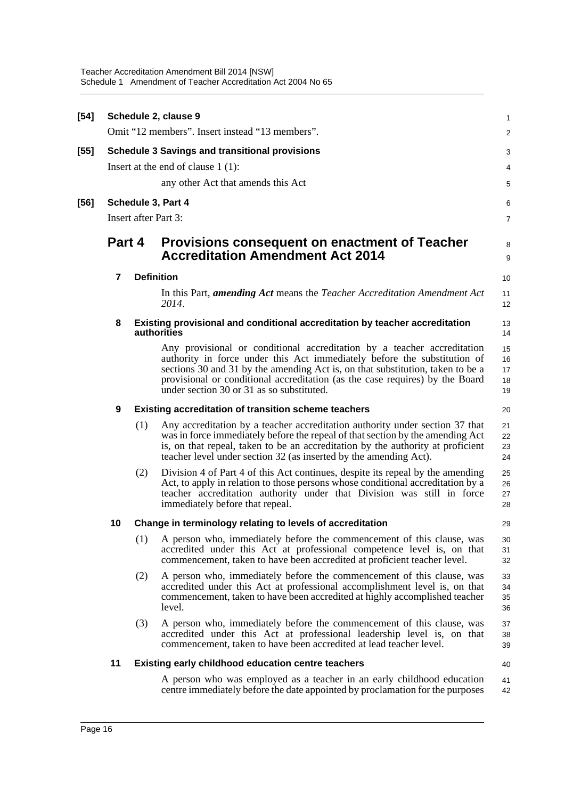| $[54]$ |                    |                                                                                            | Schedule 2, clause 9                                                                                                                                                                                                                                                                                                                                               | 1                          |  |  |  |  |
|--------|--------------------|--------------------------------------------------------------------------------------------|--------------------------------------------------------------------------------------------------------------------------------------------------------------------------------------------------------------------------------------------------------------------------------------------------------------------------------------------------------------------|----------------------------|--|--|--|--|
|        |                    |                                                                                            | Omit "12 members". Insert instead "13 members".                                                                                                                                                                                                                                                                                                                    | 2                          |  |  |  |  |
| [55]   |                    | <b>Schedule 3 Savings and transitional provisions</b>                                      |                                                                                                                                                                                                                                                                                                                                                                    |                            |  |  |  |  |
|        |                    |                                                                                            | Insert at the end of clause $1(1)$ :                                                                                                                                                                                                                                                                                                                               | 4                          |  |  |  |  |
|        |                    |                                                                                            | any other Act that amends this Act                                                                                                                                                                                                                                                                                                                                 | 5                          |  |  |  |  |
| [56]   | Schedule 3, Part 4 |                                                                                            |                                                                                                                                                                                                                                                                                                                                                                    |                            |  |  |  |  |
|        |                    | Insert after Part 3:<br>7                                                                  |                                                                                                                                                                                                                                                                                                                                                                    |                            |  |  |  |  |
|        | Part 4             |                                                                                            | <b>Provisions consequent on enactment of Teacher</b><br><b>Accreditation Amendment Act 2014</b>                                                                                                                                                                                                                                                                    | 8<br>9                     |  |  |  |  |
|        | 7                  |                                                                                            | <b>Definition</b>                                                                                                                                                                                                                                                                                                                                                  | 10                         |  |  |  |  |
|        |                    |                                                                                            | In this Part, <i>amending Act</i> means the <i>Teacher Accreditation Amendment Act</i><br>2014.                                                                                                                                                                                                                                                                    | 11<br>12                   |  |  |  |  |
|        | 8                  | Existing provisional and conditional accreditation by teacher accreditation<br>authorities |                                                                                                                                                                                                                                                                                                                                                                    |                            |  |  |  |  |
|        |                    |                                                                                            | Any provisional or conditional accreditation by a teacher accreditation<br>authority in force under this Act immediately before the substitution of<br>sections 30 and 31 by the amending Act is, on that substitution, taken to be a<br>provisional or conditional accreditation (as the case requires) by the Board<br>under section 30 or 31 as so substituted. | 15<br>16<br>17<br>18<br>19 |  |  |  |  |
|        | 9                  |                                                                                            | <b>Existing accreditation of transition scheme teachers</b>                                                                                                                                                                                                                                                                                                        | 20                         |  |  |  |  |
|        |                    | (1)                                                                                        | Any accreditation by a teacher accreditation authority under section 37 that<br>was in force immediately before the repeal of that section by the amending Act<br>is, on that repeal, taken to be an accreditation by the authority at proficient<br>teacher level under section 32 (as inserted by the amending Act).                                             | 21<br>22<br>23<br>24       |  |  |  |  |
|        |                    | (2)                                                                                        | Division 4 of Part 4 of this Act continues, despite its repeal by the amending<br>Act, to apply in relation to those persons whose conditional accreditation by a<br>teacher accreditation authority under that Division was still in force<br>immediately before that repeal.                                                                                     | 25<br>26<br>27<br>28       |  |  |  |  |
|        | 10                 |                                                                                            | Change in terminology relating to levels of accreditation                                                                                                                                                                                                                                                                                                          | 29                         |  |  |  |  |
|        |                    | (1)                                                                                        | A person who, immediately before the commencement of this clause, was<br>accredited under this Act at professional competence level is, on that<br>commencement, taken to have been accredited at proficient teacher level.                                                                                                                                        | 30<br>31<br>32             |  |  |  |  |
|        |                    | (2)                                                                                        | A person who, immediately before the commencement of this clause, was<br>accredited under this Act at professional accomplishment level is, on that<br>commencement, taken to have been accredited at highly accomplished teacher<br>level.                                                                                                                        | 33<br>34<br>35<br>36       |  |  |  |  |
|        |                    | (3)                                                                                        | A person who, immediately before the commencement of this clause, was<br>accredited under this Act at professional leadership level is, on that<br>commencement, taken to have been accredited at lead teacher level.                                                                                                                                              | 37<br>38<br>39             |  |  |  |  |
|        | 11                 | <b>Existing early childhood education centre teachers</b><br>40                            |                                                                                                                                                                                                                                                                                                                                                                    |                            |  |  |  |  |
|        |                    |                                                                                            | A person who was employed as a teacher in an early childhood education<br>centre immediately before the date appointed by proclamation for the purposes                                                                                                                                                                                                            | 41<br>42                   |  |  |  |  |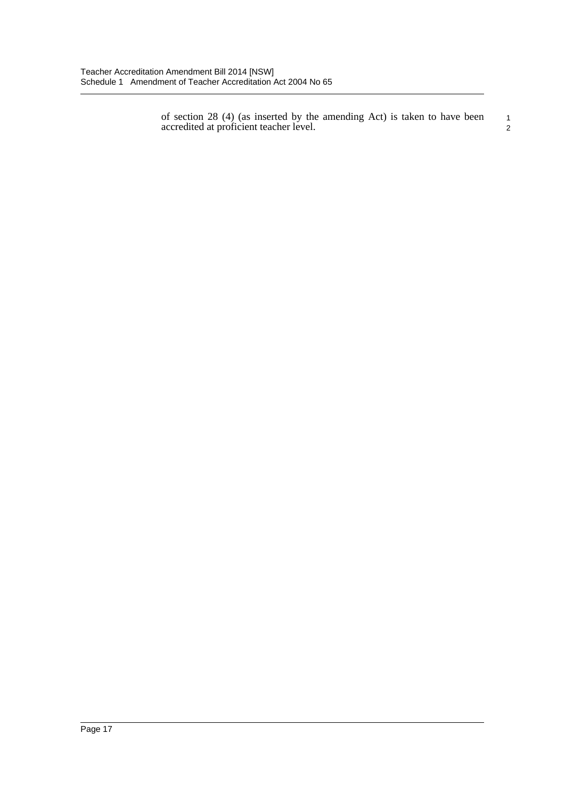of section 28 (4) (as inserted by the amending Act) is taken to have been accredited at proficient teacher level.

1 2